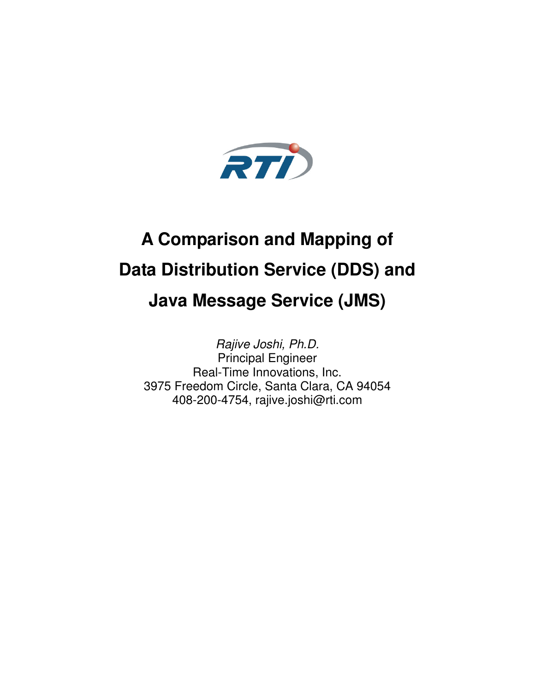

# **A Comparison and Mapping of Data Distribution Service (DDS) and Java Message Service (JMS)**

Rajive Joshi, Ph.D. Principal Engineer Real-Time Innovations, Inc. 3975 Freedom Circle, Santa Clara, CA 94054 408-200-4754, rajive.joshi@rti.com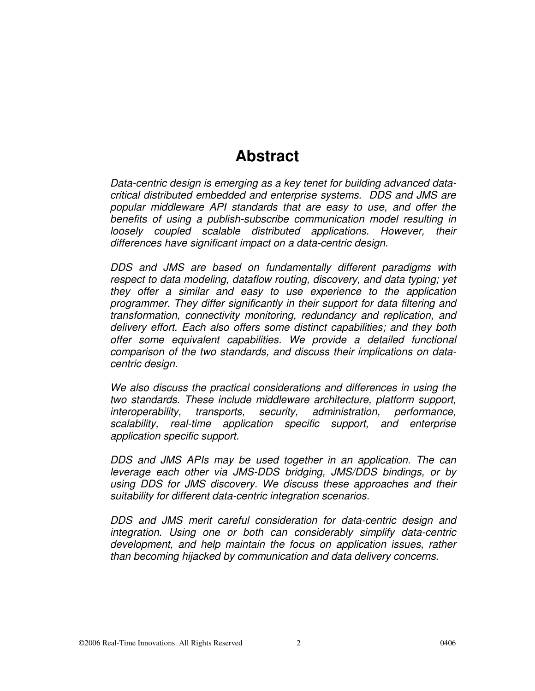### **Abstract**

Data-centric design is emerging as a key tenet for building advanced datacritical distributed embedded and enterprise systems. DDS and JMS are popular middleware API standards that are easy to use, and offer the benefits of using a publish-subscribe communication model resulting in loosely coupled scalable distributed applications. However, their differences have significant impact on a data-centric design.

DDS and JMS are based on fundamentally different paradigms with respect to data modeling, dataflow routing, discovery, and data typing; yet they offer a similar and easy to use experience to the application programmer. They differ significantly in their support for data filtering and transformation, connectivity monitoring, redundancy and replication, and delivery effort. Each also offers some distinct capabilities; and they both offer some equivalent capabilities. We provide a detailed functional comparison of the two standards, and discuss their implications on datacentric design.

We also discuss the practical considerations and differences in using the two standards. These include middleware architecture, platform support, interoperability, transports, security, administration, performance, scalability, real-time application specific support, and enterprise application specific support.

DDS and JMS APIs may be used together in an application. The can leverage each other via JMS-DDS bridging, JMS/DDS bindings, or by using DDS for JMS discovery. We discuss these approaches and their suitability for different data-centric integration scenarios.

DDS and JMS merit careful consideration for data-centric design and integration. Using one or both can considerably simplify data-centric development, and help maintain the focus on application issues, rather than becoming hijacked by communication and data delivery concerns.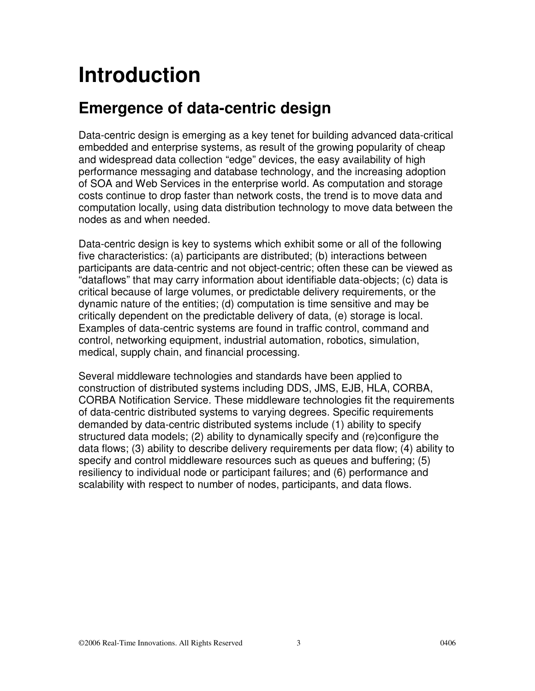# **Introduction**

### **Emergence of data-centric design**

Data-centric design is emerging as a key tenet for building advanced data-critical embedded and enterprise systems, as result of the growing popularity of cheap and widespread data collection "edge" devices, the easy availability of high performance messaging and database technology, and the increasing adoption of SOA and Web Services in the enterprise world. As computation and storage costs continue to drop faster than network costs, the trend is to move data and computation locally, using data distribution technology to move data between the nodes as and when needed.

Data-centric design is key to systems which exhibit some or all of the following five characteristics: (a) participants are distributed; (b) interactions between participants are data-centric and not object-centric; often these can be viewed as "dataflows" that may carry information about identifiable data-objects; (c) data is critical because of large volumes, or predictable delivery requirements, or the dynamic nature of the entities; (d) computation is time sensitive and may be critically dependent on the predictable delivery of data, (e) storage is local. Examples of data-centric systems are found in traffic control, command and control, networking equipment, industrial automation, robotics, simulation, medical, supply chain, and financial processing.

Several middleware technologies and standards have been applied to construction of distributed systems including DDS, JMS, EJB, HLA, CORBA, CORBA Notification Service. These middleware technologies fit the requirements of data-centric distributed systems to varying degrees. Specific requirements demanded by data-centric distributed systems include (1) ability to specify structured data models; (2) ability to dynamically specify and (re)configure the data flows; (3) ability to describe delivery requirements per data flow; (4) ability to specify and control middleware resources such as queues and buffering; (5) resiliency to individual node or participant failures; and (6) performance and scalability with respect to number of nodes, participants, and data flows.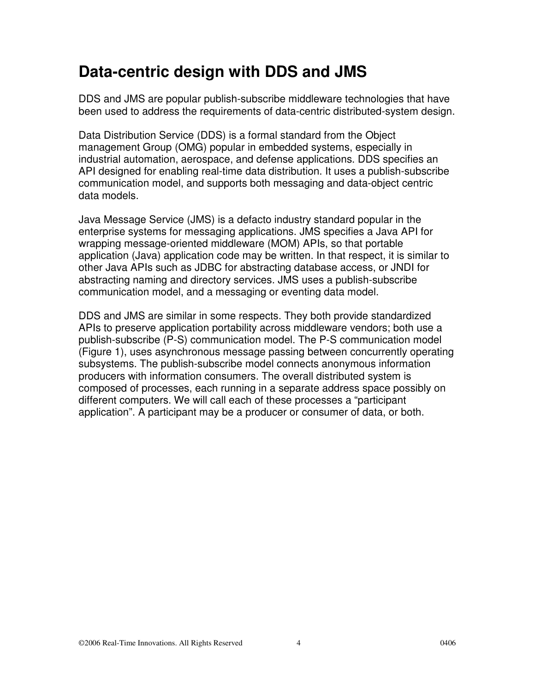### **Data-centric design with DDS and JMS**

DDS and JMS are popular publish-subscribe middleware technologies that have been used to address the requirements of data-centric distributed-system design.

Data Distribution Service (DDS) is a formal standard from the Object management Group (OMG) popular in embedded systems, especially in industrial automation, aerospace, and defense applications. DDS specifies an API designed for enabling real-time data distribution. It uses a publish-subscribe communication model, and supports both messaging and data-object centric data models.

Java Message Service (JMS) is a defacto industry standard popular in the enterprise systems for messaging applications. JMS specifies a Java API for wrapping message-oriented middleware (MOM) APIs, so that portable application (Java) application code may be written. In that respect, it is similar to other Java APIs such as JDBC for abstracting database access, or JNDI for abstracting naming and directory services. JMS uses a publish-subscribe communication model, and a messaging or eventing data model.

DDS and JMS are similar in some respects. They both provide standardized APIs to preserve application portability across middleware vendors; both use a publish-subscribe (P-S) communication model. The P-S communication model (Figure 1), uses asynchronous message passing between concurrently operating subsystems. The publish-subscribe model connects anonymous information producers with information consumers. The overall distributed system is composed of processes, each running in a separate address space possibly on different computers. We will call each of these processes a "participant application". A participant may be a producer or consumer of data, or both.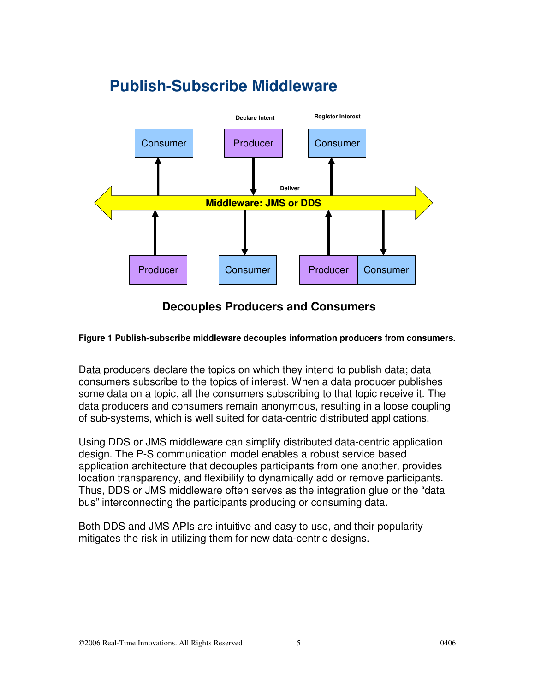### **Publish-Subscribe Middleware**



#### **Decouples Producers and Consumers**

#### **Figure 1 Publish-subscribe middleware decouples information producers from consumers.**

Data producers declare the topics on which they intend to publish data; data consumers subscribe to the topics of interest. When a data producer publishes some data on a topic, all the consumers subscribing to that topic receive it. The data producers and consumers remain anonymous, resulting in a loose coupling of sub-systems, which is well suited for data-centric distributed applications.

Using DDS or JMS middleware can simplify distributed data-centric application design. The P-S communication model enables a robust service based application architecture that decouples participants from one another, provides location transparency, and flexibility to dynamically add or remove participants. Thus, DDS or JMS middleware often serves as the integration glue or the "data bus" interconnecting the participants producing or consuming data.

Both DDS and JMS APIs are intuitive and easy to use, and their popularity mitigates the risk in utilizing them for new data-centric designs.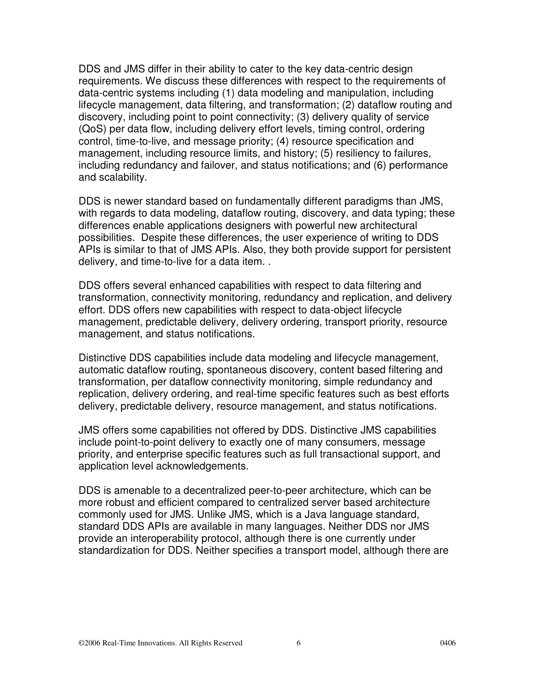DDS and JMS differ in their ability to cater to the key data-centric design requirements. We discuss these differences with respect to the requirements of data-centric systems including (1) data modeling and manipulation, including lifecycle management, data filtering, and transformation; (2) dataflow routing and discovery, including point to point connectivity; (3) delivery quality of service (QoS) per data flow, including delivery effort levels, timing control, ordering control, time-to-live, and message priority; (4) resource specification and management, including resource limits, and history; (5) resiliency to failures, including redundancy and failover, and status notifications; and (6) performance and scalability.

DDS is newer standard based on fundamentally different paradigms than JMS, with regards to data modeling, dataflow routing, discovery, and data typing; these differences enable applications designers with powerful new architectural possibilities. Despite these differences, the user experience of writing to DDS APIs is similar to that of JMS APIs. Also, they both provide support for persistent delivery, and time-to-live for a data item. .

DDS offers several enhanced capabilities with respect to data filtering and transformation, connectivity monitoring, redundancy and replication, and delivery effort. DDS offers new capabilities with respect to data-object lifecycle management, predictable delivery, delivery ordering, transport priority, resource management, and status notifications.

Distinctive DDS capabilities include data modeling and lifecycle management, automatic dataflow routing, spontaneous discovery, content based filtering and transformation, per dataflow connectivity monitoring, simple redundancy and replication, delivery ordering, and real-time specific features such as best efforts delivery, predictable delivery, resource management, and status notifications.

JMS offers some capabilities not offered by DDS. Distinctive JMS capabilities include point-to-point delivery to exactly one of many consumers, message priority, and enterprise specific features such as full transactional support, and application level acknowledgements.

DDS is amenable to a decentralized peer-to-peer architecture, which can be more robust and efficient compared to centralized server based architecture commonly used for JMS. Unlike JMS, which is a Java language standard, standard DDS APIs are available in many languages. Neither DDS nor JMS provide an interoperability protocol, although there is one currently under standardization for DDS. Neither specifies a transport model, although there are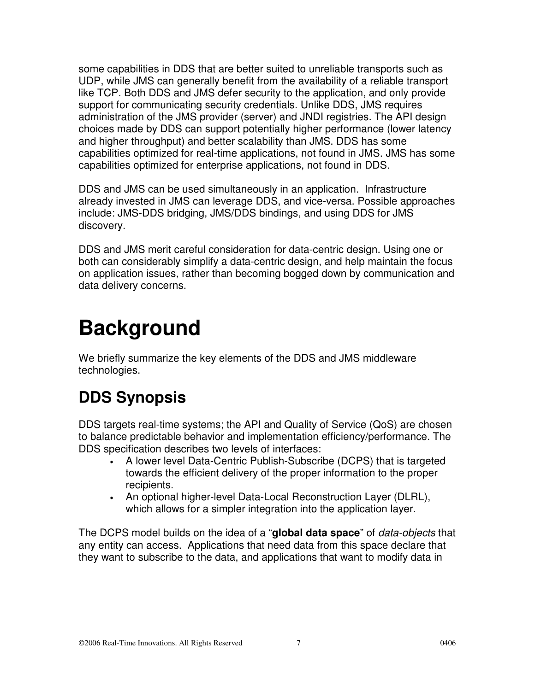some capabilities in DDS that are better suited to unreliable transports such as UDP, while JMS can generally benefit from the availability of a reliable transport like TCP. Both DDS and JMS defer security to the application, and only provide support for communicating security credentials. Unlike DDS, JMS requires administration of the JMS provider (server) and JNDI registries. The API design choices made by DDS can support potentially higher performance (lower latency and higher throughput) and better scalability than JMS. DDS has some capabilities optimized for real-time applications, not found in JMS. JMS has some capabilities optimized for enterprise applications, not found in DDS.

DDS and JMS can be used simultaneously in an application. Infrastructure already invested in JMS can leverage DDS, and vice-versa. Possible approaches include: JMS-DDS bridging, JMS/DDS bindings, and using DDS for JMS discovery.

DDS and JMS merit careful consideration for data-centric design. Using one or both can considerably simplify a data-centric design, and help maintain the focus on application issues, rather than becoming bogged down by communication and data delivery concerns.

# **Background**

We briefly summarize the key elements of the DDS and JMS middleware technologies.

## **DDS Synopsis**

DDS targets real-time systems; the API and Quality of Service (QoS) are chosen to balance predictable behavior and implementation efficiency/performance. The DDS specification describes two levels of interfaces:

- A lower level Data-Centric Publish-Subscribe (DCPS) that is targeted towards the efficient delivery of the proper information to the proper recipients.
- An optional higher-level Data-Local Reconstruction Layer (DLRL), which allows for a simpler integration into the application layer.

The DCPS model builds on the idea of a "**global data space**" of data-objects that any entity can access. Applications that need data from this space declare that they want to subscribe to the data, and applications that want to modify data in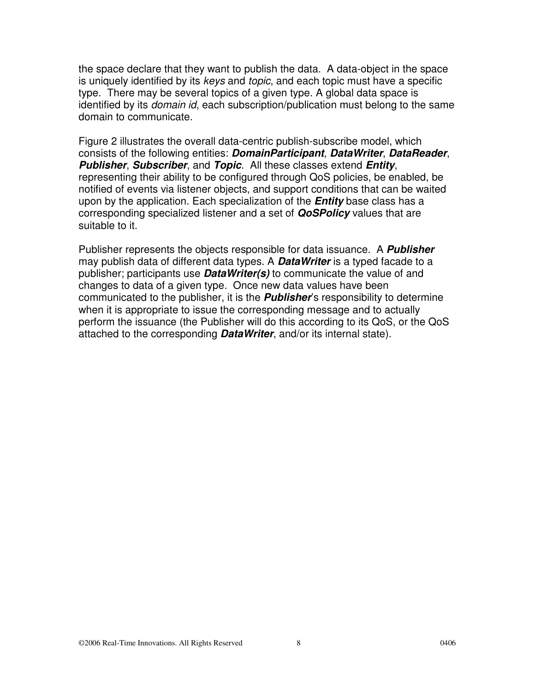the space declare that they want to publish the data. A data-object in the space is uniquely identified by its keys and topic, and each topic must have a specific type. There may be several topics of a given type. A global data space is identified by its *domain id*, each subscription/publication must belong to the same domain to communicate.

Figure 2 illustrates the overall data-centric publish-subscribe model, which consists of the following entities: **DomainParticipant**, **DataWriter**, **DataReader**, **Publisher**, **Subscriber**, and **Topic**. All these classes extend **Entity**, representing their ability to be configured through QoS policies, be enabled, be notified of events via listener objects, and support conditions that can be waited upon by the application. Each specialization of the **Entity** base class has a corresponding specialized listener and a set of **QoSPolicy** values that are suitable to it.

Publisher represents the objects responsible for data issuance. A **Publisher** may publish data of different data types. A **DataWriter** is a typed facade to a publisher; participants use **DataWriter(s)** to communicate the value of and changes to data of a given type. Once new data values have been communicated to the publisher, it is the **Publisher**'s responsibility to determine when it is appropriate to issue the corresponding message and to actually perform the issuance (the Publisher will do this according to its QoS, or the QoS attached to the corresponding **DataWriter**, and/or its internal state).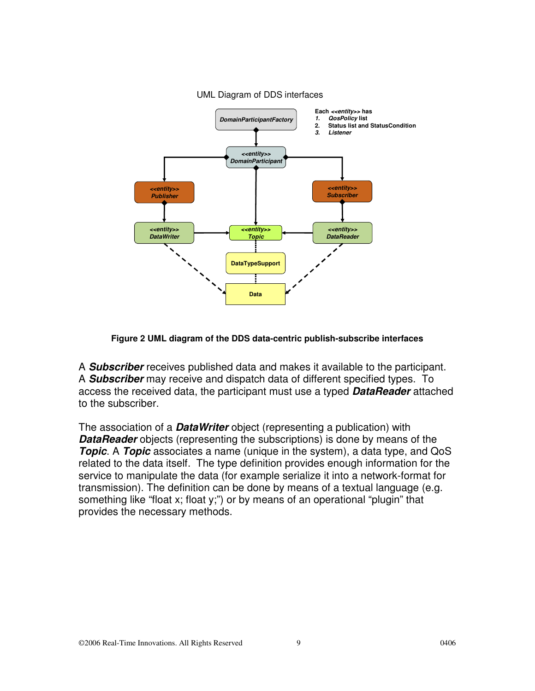

#### UML Diagram of DDS interfaces

#### **Figure 2 UML diagram of the DDS data-centric publish-subscribe interfaces**

A **Subscriber** receives published data and makes it available to the participant. A **Subscriber** may receive and dispatch data of different specified types. To access the received data, the participant must use a typed **DataReader** attached to the subscriber.

The association of a **DataWriter** object (representing a publication) with **DataReader** objects (representing the subscriptions) is done by means of the **Topic**. A **Topic** associates a name (unique in the system), a data type, and QoS related to the data itself. The type definition provides enough information for the service to manipulate the data (for example serialize it into a network-format for transmission). The definition can be done by means of a textual language (e.g. something like "float x; float y;") or by means of an operational "plugin" that provides the necessary methods.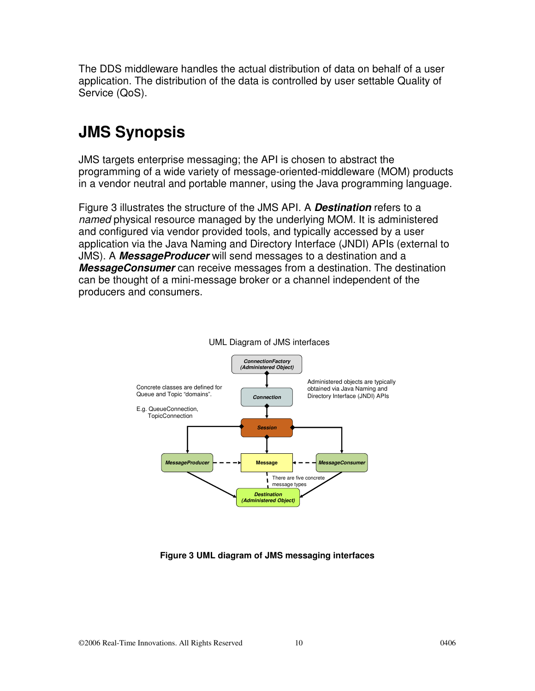The DDS middleware handles the actual distribution of data on behalf of a user application. The distribution of the data is controlled by user settable Quality of Service (QoS).

### **JMS Synopsis**

JMS targets enterprise messaging; the API is chosen to abstract the programming of a wide variety of message-oriented-middleware (MOM) products in a vendor neutral and portable manner, using the Java programming language.

Figure 3 illustrates the structure of the JMS API. A **Destination** refers to a named physical resource managed by the underlying MOM. It is administered and configured via vendor provided tools, and typically accessed by a user application via the Java Naming and Directory Interface (JNDI) APIs (external to JMS). A **MessageProducer** will send messages to a destination and a **MessageConsumer** can receive messages from a destination. The destination can be thought of a mini-message broker or a channel independent of the producers and consumers.





#### **Figure 3 UML diagram of JMS messaging interfaces**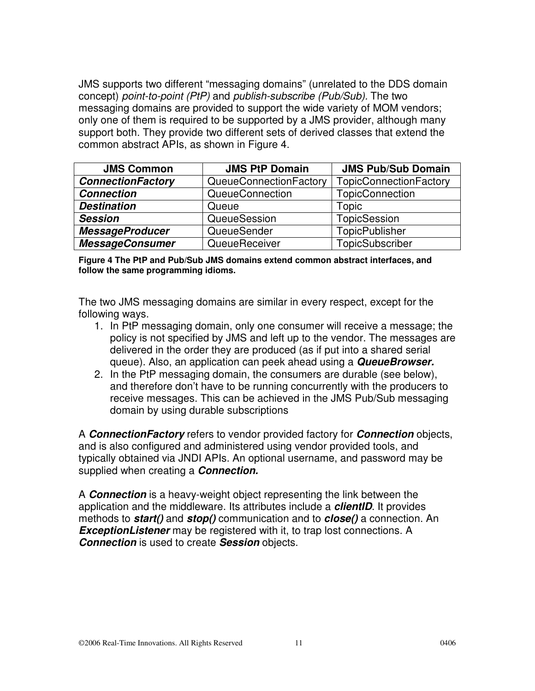JMS supports two different "messaging domains" (unrelated to the DDS domain concept) point-to-point (PtP) and publish-subscribe (Pub/Sub). The two messaging domains are provided to support the wide variety of MOM vendors; only one of them is required to be supported by a JMS provider, although many support both. They provide two different sets of derived classes that extend the common abstract APIs, as shown in Figure 4.

| <b>JMS Common</b>        | <b>JMS PtP Domain</b>  | <b>JMS Pub/Sub Domain</b>     |
|--------------------------|------------------------|-------------------------------|
| <b>ConnectionFactory</b> | QueueConnectionFactory | <b>TopicConnectionFactory</b> |
| <b>Connection</b>        | <b>QueueConnection</b> | <b>TopicConnection</b>        |
| <b>Destination</b>       | Queue                  | Topic                         |
| <b>Session</b>           | QueueSession           | TopicSession                  |
| <b>MessageProducer</b>   | QueueSender            | <b>TopicPublisher</b>         |
| <b>MessageConsumer</b>   | QueueReceiver          | TopicSubscriber               |

**Figure 4 The PtP and Pub/Sub JMS domains extend common abstract interfaces, and follow the same programming idioms.** 

The two JMS messaging domains are similar in every respect, except for the following ways.

- 1. In PtP messaging domain, only one consumer will receive a message; the policy is not specified by JMS and left up to the vendor. The messages are delivered in the order they are produced (as if put into a shared serial queue). Also, an application can peek ahead using a **QueueBrowser.**
- 2. In the PtP messaging domain, the consumers are durable (see below), and therefore don't have to be running concurrently with the producers to receive messages. This can be achieved in the JMS Pub/Sub messaging domain by using durable subscriptions

A **ConnectionFactory** refers to vendor provided factory for **Connection** objects, and is also configured and administered using vendor provided tools, and typically obtained via JNDI APIs. An optional username, and password may be supplied when creating a **Connection.** 

A **Connection** is a heavy-weight object representing the link between the application and the middleware. Its attributes include a **clientID**. It provides methods to **start()** and **stop()** communication and to **close()** a connection. An **ExceptionListener** may be registered with it, to trap lost connections. A **Connection** is used to create **Session** objects.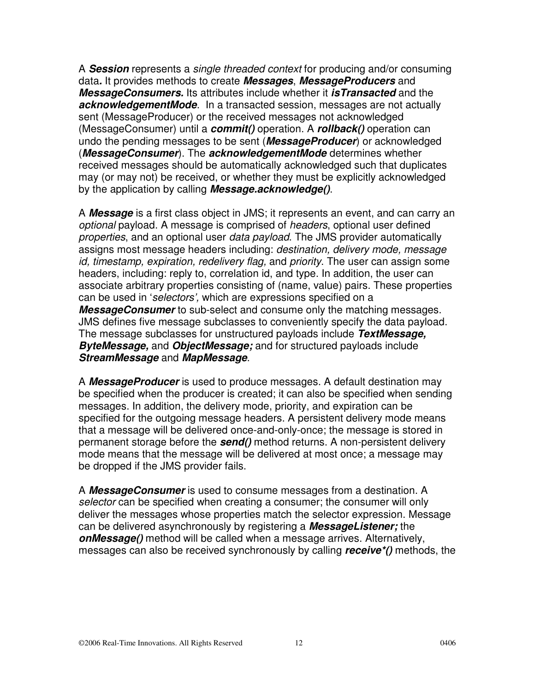A **Session** represents a single threaded context for producing and/or consuming data**.** It provides methods to create **Messages**, **MessageProducers** and **MessageConsumers.** Its attributes include whether it **isTransacted** and the **acknowledgementMode**. In a transacted session, messages are not actually sent (MessageProducer) or the received messages not acknowledged (MessageConsumer) until a **commit()** operation. A **rollback()** operation can undo the pending messages to be sent (**MessageProducer**) or acknowledged (**MessageConsumer**). The **acknowledgementMode** determines whether received messages should be automatically acknowledged such that duplicates may (or may not) be received, or whether they must be explicitly acknowledged by the application by calling **Message.acknowledge()**.

A **Message** is a first class object in JMS; it represents an event, and can carry an optional payload. A message is comprised of headers, optional user defined properties, and an optional user data payload. The JMS provider automatically assigns most message headers including: destination, delivery mode, message id, timestamp, expiration, redelivery flag, and priority. The user can assign some headers, including: reply to, correlation id, and type. In addition, the user can associate arbitrary properties consisting of (name, value) pairs. These properties can be used in 'selectors', which are expressions specified on a **MessageConsumer** to sub-select and consume only the matching messages. JMS defines five message subclasses to conveniently specify the data payload. The message subclasses for unstructured payloads include **TextMessage, ByteMessage,** and **ObjectMessage;** and for structured payloads include **StreamMessage** and **MapMessage**.

A **MessageProducer** is used to produce messages. A default destination may be specified when the producer is created; it can also be specified when sending messages. In addition, the delivery mode, priority, and expiration can be specified for the outgoing message headers. A persistent delivery mode means that a message will be delivered once-and-only-once; the message is stored in permanent storage before the **send()** method returns. A non-persistent delivery mode means that the message will be delivered at most once; a message may be dropped if the JMS provider fails.

A **MessageConsumer** is used to consume messages from a destination. A selector can be specified when creating a consumer; the consumer will only deliver the messages whose properties match the selector expression. Message can be delivered asynchronously by registering a **MessageListener;** the **onMessage()** method will be called when a message arrives. Alternatively, messages can also be received synchronously by calling **receive\*()** methods, the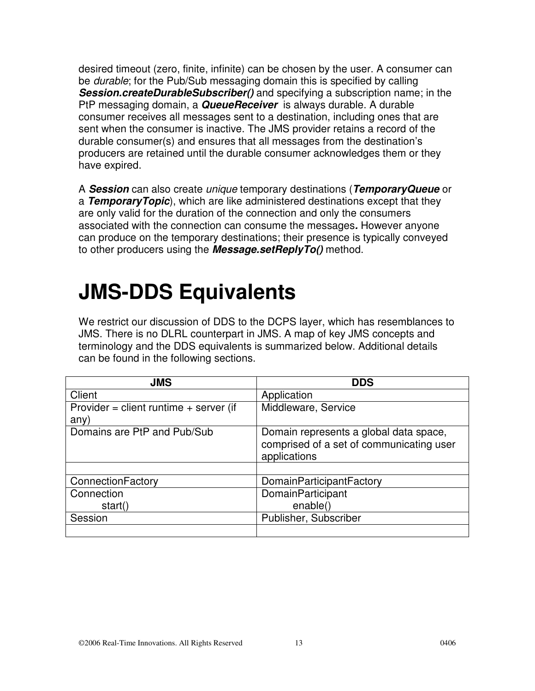desired timeout (zero, finite, infinite) can be chosen by the user. A consumer can be *durable*; for the Pub/Sub messaging domain this is specified by calling **Session.createDurableSubscriber()** and specifying a subscription name; in the PtP messaging domain, a **QueueReceiver** is always durable. A durable consumer receives all messages sent to a destination, including ones that are sent when the consumer is inactive. The JMS provider retains a record of the durable consumer(s) and ensures that all messages from the destination's producers are retained until the durable consumer acknowledges them or they have expired.

A **Session** can also create unique temporary destinations (**TemporaryQueue** or a **TemporaryTopic**), which are like administered destinations except that they are only valid for the duration of the connection and only the consumers associated with the connection can consume the messages**.** However anyone can produce on the temporary destinations; their presence is typically conveyed to other producers using the **Message.setReplyTo()** method.

# **JMS-DDS Equivalents**

We restrict our discussion of DDS to the DCPS layer, which has resemblances to JMS. There is no DLRL counterpart in JMS. A map of key JMS concepts and terminology and the DDS equivalents is summarized below. Additional details can be found in the following sections.

| <b>JMS</b>                                     | <b>DDS</b>                                                                                         |
|------------------------------------------------|----------------------------------------------------------------------------------------------------|
| Client                                         | Application                                                                                        |
| Provider = client runtime + server (if<br>any) | Middleware, Service                                                                                |
| Domains are PtP and Pub/Sub                    | Domain represents a global data space,<br>comprised of a set of communicating user<br>applications |
|                                                |                                                                                                    |
| ConnectionFactory                              | DomainParticipantFactory                                                                           |
| Connection                                     | DomainParticipant                                                                                  |
| start()                                        | enable()                                                                                           |
| Session                                        | Publisher, Subscriber                                                                              |
|                                                |                                                                                                    |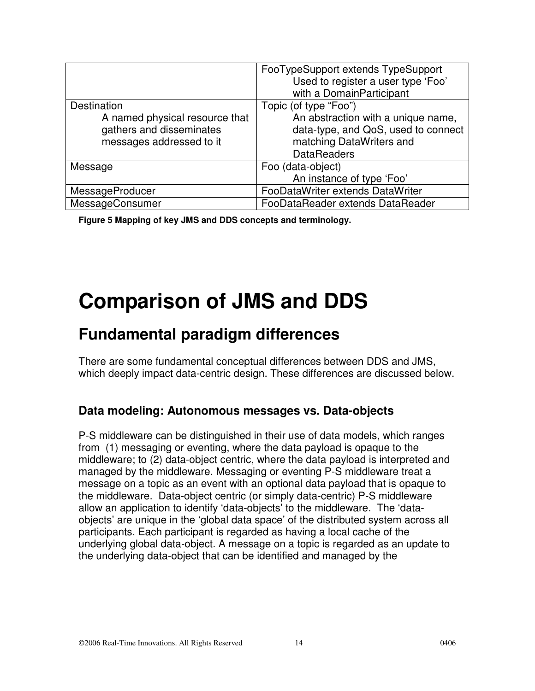|                                | FooTypeSupport extends TypeSupport<br>Used to register a user type 'Foo'<br>with a DomainParticipant |
|--------------------------------|------------------------------------------------------------------------------------------------------|
| Destination                    | Topic (of type "Foo")                                                                                |
| A named physical resource that | An abstraction with a unique name,                                                                   |
| gathers and disseminates       | data-type, and QoS, used to connect                                                                  |
| messages addressed to it       | matching DataWriters and                                                                             |
|                                | <b>DataReaders</b>                                                                                   |
| Message                        | Foo (data-object)                                                                                    |
|                                | An instance of type 'Foo'                                                                            |
| MessageProducer                | FooDataWriter extends DataWriter                                                                     |
| MessageConsumer                | FooDataReader extends DataReader                                                                     |

**Figure 5 Mapping of key JMS and DDS concepts and terminology.** 

## **Comparison of JMS and DDS**

### **Fundamental paradigm differences**

There are some fundamental conceptual differences between DDS and JMS, which deeply impact data-centric design. These differences are discussed below.

#### **Data modeling: Autonomous messages vs. Data-objects**

P-S middleware can be distinguished in their use of data models, which ranges from (1) messaging or eventing, where the data payload is opaque to the middleware; to (2) data-object centric, where the data payload is interpreted and managed by the middleware. Messaging or eventing P-S middleware treat a message on a topic as an event with an optional data payload that is opaque to the middleware. Data-object centric (or simply data-centric) P-S middleware allow an application to identify 'data-objects' to the middleware. The 'dataobjects' are unique in the 'global data space' of the distributed system across all participants. Each participant is regarded as having a local cache of the underlying global data-object. A message on a topic is regarded as an update to the underlying data-object that can be identified and managed by the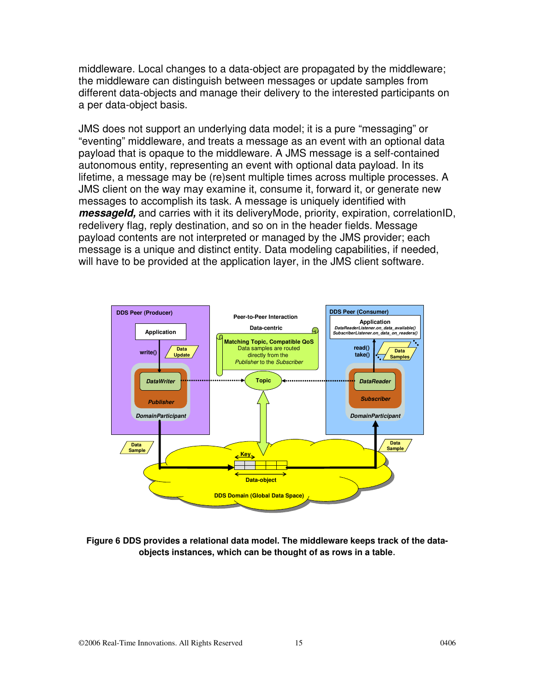middleware. Local changes to a data-object are propagated by the middleware; the middleware can distinguish between messages or update samples from different data-objects and manage their delivery to the interested participants on a per data-object basis.

JMS does not support an underlying data model; it is a pure "messaging" or "eventing" middleware, and treats a message as an event with an optional data payload that is opaque to the middleware. A JMS message is a self-contained autonomous entity, representing an event with optional data payload. In its lifetime, a message may be (re)sent multiple times across multiple processes. A JMS client on the way may examine it, consume it, forward it, or generate new messages to accomplish its task. A message is uniquely identified with **messageId,** and carries with it its deliveryMode, priority, expiration, correlationID, redelivery flag, reply destination, and so on in the header fields. Message payload contents are not interpreted or managed by the JMS provider; each message is a unique and distinct entity. Data modeling capabilities, if needed, will have to be provided at the application layer, in the JMS client software.



**Figure 6 DDS provides a relational data model. The middleware keeps track of the dataobjects instances, which can be thought of as rows in a table**.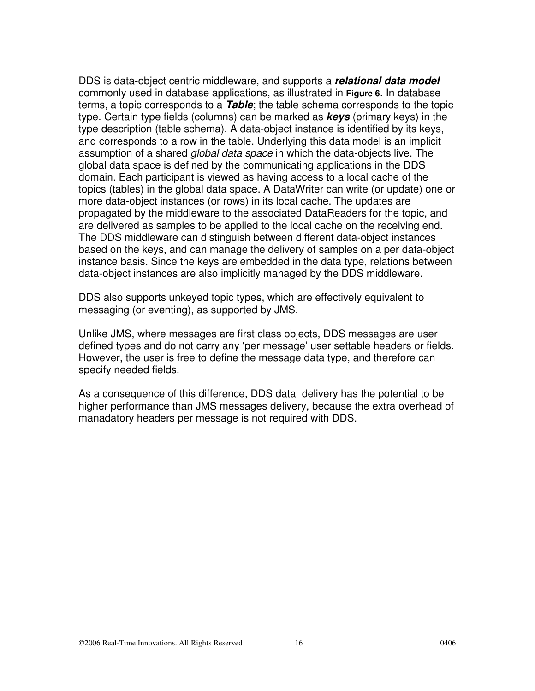DDS is data-object centric middleware, and supports a **relational data model** commonly used in database applications, as illustrated in **Figure 6**. In database terms, a topic corresponds to a **Table**; the table schema corresponds to the topic type. Certain type fields (columns) can be marked as **keys** (primary keys) in the type description (table schema). A data-object instance is identified by its keys, and corresponds to a row in the table. Underlying this data model is an implicit assumption of a shared *global data space* in which the data-objects live. The global data space is defined by the communicating applications in the DDS domain. Each participant is viewed as having access to a local cache of the topics (tables) in the global data space. A DataWriter can write (or update) one or more data-object instances (or rows) in its local cache. The updates are propagated by the middleware to the associated DataReaders for the topic, and are delivered as samples to be applied to the local cache on the receiving end. The DDS middleware can distinguish between different data-object instances based on the keys, and can manage the delivery of samples on a per data-object instance basis. Since the keys are embedded in the data type, relations between data-object instances are also implicitly managed by the DDS middleware.

DDS also supports unkeyed topic types, which are effectively equivalent to messaging (or eventing), as supported by JMS.

Unlike JMS, where messages are first class objects, DDS messages are user defined types and do not carry any 'per message' user settable headers or fields. However, the user is free to define the message data type, and therefore can specify needed fields.

As a consequence of this difference, DDS data delivery has the potential to be higher performance than JMS messages delivery, because the extra overhead of manadatory headers per message is not required with DDS.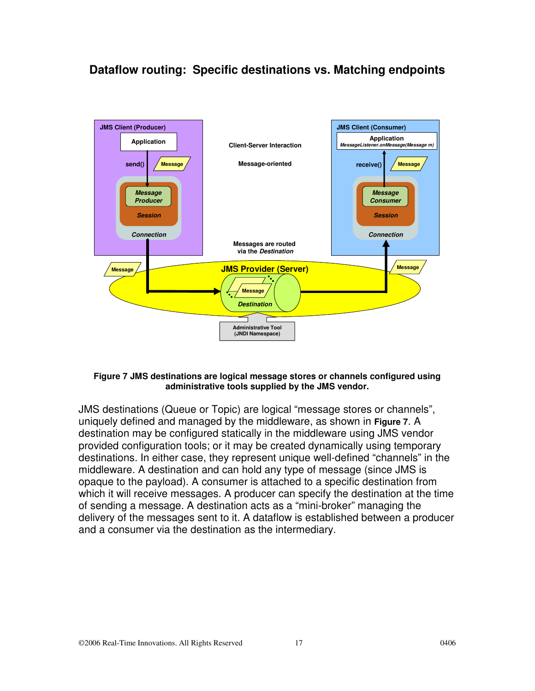### **Dataflow routing: Specific destinations vs. Matching endpoints**



#### **Figure 7 JMS destinations are logical message stores or channels configured using administrative tools supplied by the JMS vendor.**

JMS destinations (Queue or Topic) are logical "message stores or channels", uniquely defined and managed by the middleware, as shown in **Figure 7**. A destination may be configured statically in the middleware using JMS vendor provided configuration tools; or it may be created dynamically using temporary destinations. In either case, they represent unique well-defined "channels" in the middleware. A destination and can hold any type of message (since JMS is opaque to the payload). A consumer is attached to a specific destination from which it will receive messages. A producer can specify the destination at the time of sending a message. A destination acts as a "mini-broker" managing the delivery of the messages sent to it. A dataflow is established between a producer and a consumer via the destination as the intermediary.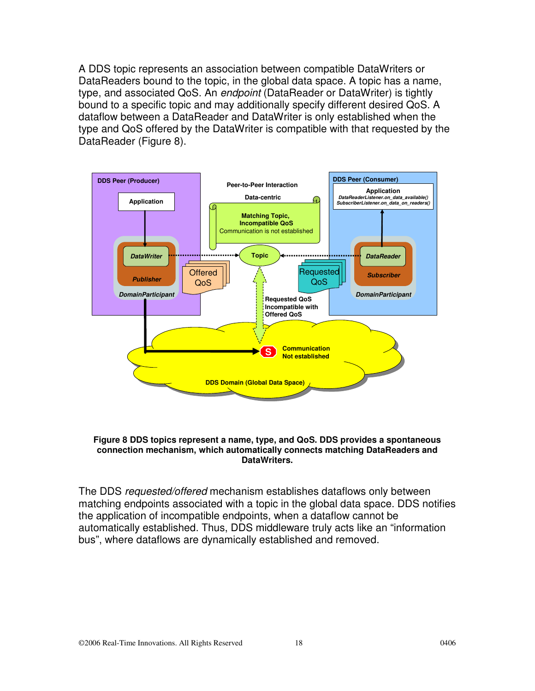A DDS topic represents an association between compatible DataWriters or DataReaders bound to the topic, in the global data space. A topic has a name, type, and associated QoS. An *endpoint* (DataReader or DataWriter) is tightly bound to a specific topic and may additionally specify different desired QoS. A dataflow between a DataReader and DataWriter is only established when the type and QoS offered by the DataWriter is compatible with that requested by the DataReader (Figure 8).



#### **Figure 8 DDS topics represent a name, type, and QoS. DDS provides a spontaneous connection mechanism, which automatically connects matching DataReaders and DataWriters.**

The DDS requested/offered mechanism establishes dataflows only between matching endpoints associated with a topic in the global data space. DDS notifies the application of incompatible endpoints, when a dataflow cannot be automatically established. Thus, DDS middleware truly acts like an "information bus", where dataflows are dynamically established and removed.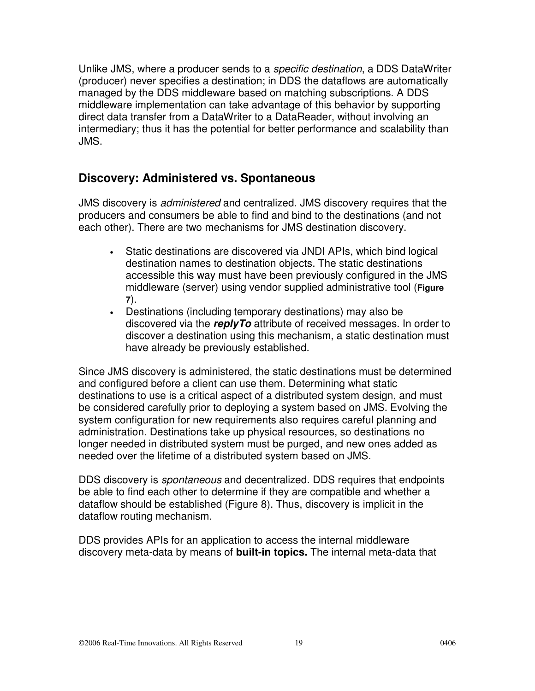Unlike JMS, where a producer sends to a specific destination, a DDS DataWriter (producer) never specifies a destination; in DDS the dataflows are automatically managed by the DDS middleware based on matching subscriptions. A DDS middleware implementation can take advantage of this behavior by supporting direct data transfer from a DataWriter to a DataReader, without involving an intermediary; thus it has the potential for better performance and scalability than JMS.

#### **Discovery: Administered vs. Spontaneous**

JMS discovery is administered and centralized. JMS discovery requires that the producers and consumers be able to find and bind to the destinations (and not each other). There are two mechanisms for JMS destination discovery.

- Static destinations are discovered via JNDI APIs, which bind logical destination names to destination objects. The static destinations accessible this way must have been previously configured in the JMS middleware (server) using vendor supplied administrative tool (**Figure 7**).
- Destinations (including temporary destinations) may also be discovered via the **replyTo** attribute of received messages. In order to discover a destination using this mechanism, a static destination must have already be previously established.

Since JMS discovery is administered, the static destinations must be determined and configured before a client can use them. Determining what static destinations to use is a critical aspect of a distributed system design, and must be considered carefully prior to deploying a system based on JMS. Evolving the system configuration for new requirements also requires careful planning and administration. Destinations take up physical resources, so destinations no longer needed in distributed system must be purged, and new ones added as needed over the lifetime of a distributed system based on JMS.

DDS discovery is spontaneous and decentralized. DDS requires that endpoints be able to find each other to determine if they are compatible and whether a dataflow should be established (Figure 8). Thus, discovery is implicit in the dataflow routing mechanism.

DDS provides APIs for an application to access the internal middleware discovery meta-data by means of **built-in topics.** The internal meta-data that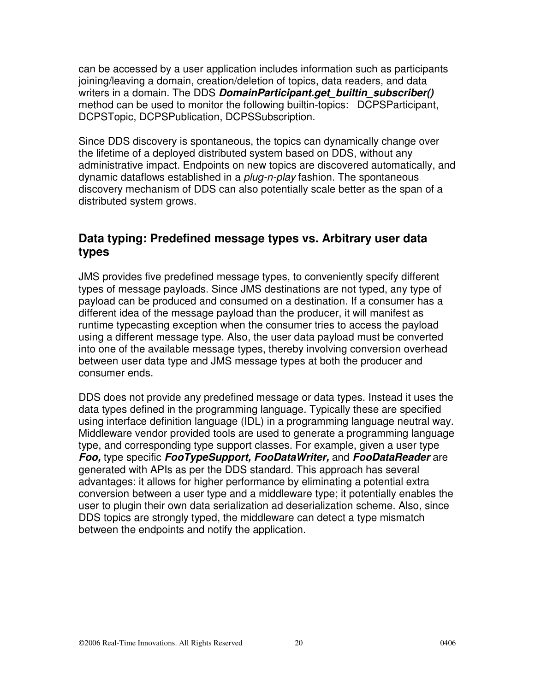can be accessed by a user application includes information such as participants joining/leaving a domain, creation/deletion of topics, data readers, and data writers in a domain. The DDS **DomainParticipant.get\_builtin\_subscriber()** method can be used to monitor the following builtin-topics: DCPSParticipant, DCPSTopic, DCPSPublication, DCPSSubscription.

Since DDS discovery is spontaneous, the topics can dynamically change over the lifetime of a deployed distributed system based on DDS, without any administrative impact. Endpoints on new topics are discovered automatically, and dynamic dataflows established in a *plug-n-play* fashion. The spontaneous discovery mechanism of DDS can also potentially scale better as the span of a distributed system grows.

#### **Data typing: Predefined message types vs. Arbitrary user data types**

JMS provides five predefined message types, to conveniently specify different types of message payloads. Since JMS destinations are not typed, any type of payload can be produced and consumed on a destination. If a consumer has a different idea of the message payload than the producer, it will manifest as runtime typecasting exception when the consumer tries to access the payload using a different message type. Also, the user data payload must be converted into one of the available message types, thereby involving conversion overhead between user data type and JMS message types at both the producer and consumer ends.

DDS does not provide any predefined message or data types. Instead it uses the data types defined in the programming language. Typically these are specified using interface definition language (IDL) in a programming language neutral way. Middleware vendor provided tools are used to generate a programming language type, and corresponding type support classes. For example, given a user type **Foo,** type specific **FooTypeSupport, FooDataWriter,** and **FooDataReader** are generated with APIs as per the DDS standard. This approach has several advantages: it allows for higher performance by eliminating a potential extra conversion between a user type and a middleware type; it potentially enables the user to plugin their own data serialization ad deserialization scheme. Also, since DDS topics are strongly typed, the middleware can detect a type mismatch between the endpoints and notify the application.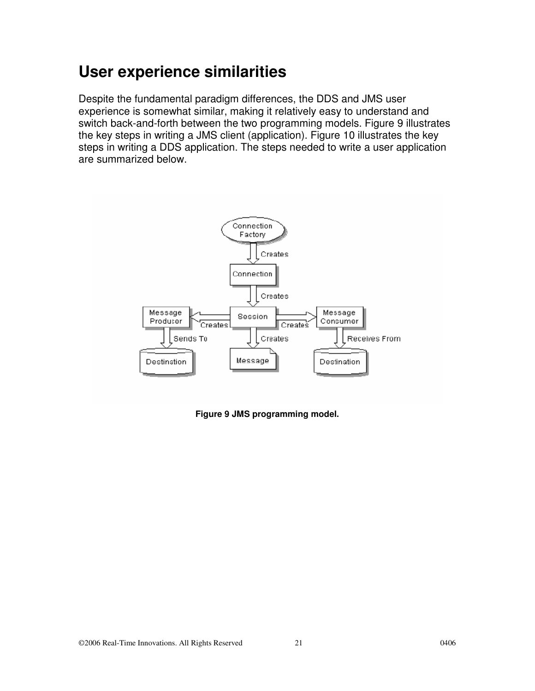### **User experience similarities**

Despite the fundamental paradigm differences, the DDS and JMS user experience is somewhat similar, making it relatively easy to understand and switch back-and-forth between the two programming models. Figure 9 illustrates the key steps in writing a JMS client (application). Figure 10 illustrates the key steps in writing a DDS application. The steps needed to write a user application are summarized below.



**Figure 9 JMS programming model.**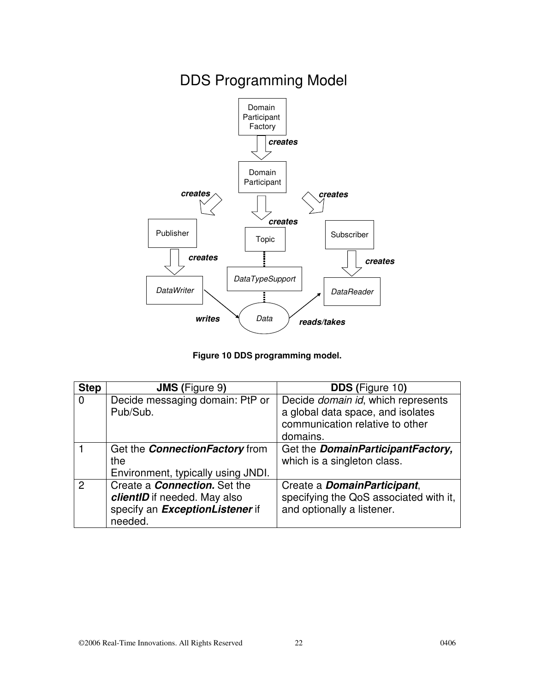

DDS Programming Model

**Figure 10 DDS programming model.** 

| <b>Step</b>   | <b>JMS</b> (Figure 9)                                                                                                     | <b>DDS</b> (Figure 10)                                                                                                 |
|---------------|---------------------------------------------------------------------------------------------------------------------------|------------------------------------------------------------------------------------------------------------------------|
| $\Omega$      | Decide messaging domain: PtP or<br>Pub/Sub.                                                                               | Decide domain id, which represents<br>a global data space, and isolates<br>communication relative to other<br>domains. |
|               | Get the <b>ConnectionFactory</b> from<br>the<br>Environment, typically using JNDI.                                        | Get the DomainParticipantFactory,<br>which is a singleton class.                                                       |
| $\mathcal{P}$ | Create a <b>Connection</b> . Set the<br>clientID if needed. May also<br>specify an <b>ExceptionListener</b> if<br>needed. | Create a <i>DomainParticipant</i> ,<br>specifying the QoS associated with it,<br>and optionally a listener.            |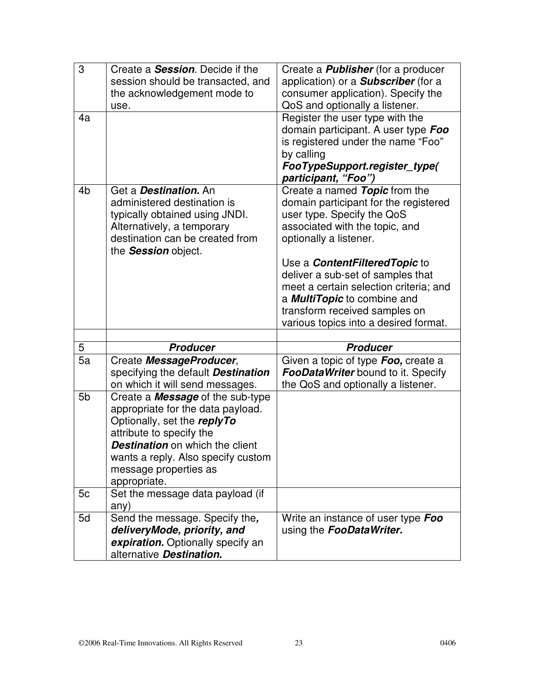| 3              | Create a <b>Session</b> . Decide if the                       | Create a <b>Publisher</b> (for a producer  |
|----------------|---------------------------------------------------------------|--------------------------------------------|
|                | session should be transacted, and                             | application) or a <b>Subscriber</b> (for a |
|                | the acknowledgement mode to                                   | consumer application). Specify the         |
|                | use.                                                          | QoS and optionally a listener.             |
| 4a             |                                                               | Register the user type with the            |
|                |                                                               | domain participant. A user type Foo        |
|                |                                                               | is registered under the name "Foo"         |
|                |                                                               | by calling                                 |
|                |                                                               | FooTypeSupport.register_type(              |
|                |                                                               | participant, "Foo")                        |
| 4 <sub>b</sub> | Get a <b>Destination</b> . An                                 | Create a named Topic from the              |
|                | administered destination is                                   | domain participant for the registered      |
|                | typically obtained using JNDI.                                | user type. Specify the QoS                 |
|                | Alternatively, a temporary                                    | associated with the topic, and             |
|                | destination can be created from                               | optionally a listener.                     |
|                | the <b>Session</b> object.                                    |                                            |
|                |                                                               | Use a <b>ContentFiltered Topic</b> to      |
|                |                                                               | deliver a sub-set of samples that          |
|                |                                                               | meet a certain selection criteria; and     |
|                |                                                               | a <b>MultiTopic</b> to combine and         |
|                |                                                               | transform received samples on              |
|                |                                                               | various topics into a desired format.      |
|                |                                                               |                                            |
|                |                                                               |                                            |
| 5              | <b>Producer</b>                                               | <b>Producer</b>                            |
| 5a             | Create MessageProducer,                                       | Given a topic of type Foo, create a        |
|                | specifying the default <b>Destination</b>                     | <b>FooDataWriter</b> bound to it. Specify  |
|                | on which it will send messages.                               | the QoS and optionally a listener.         |
| 5 <sub>b</sub> | Create a <b>Message</b> of the sub-type                       |                                            |
|                | appropriate for the data payload.                             |                                            |
|                | Optionally, set the replyTo                                   |                                            |
|                | attribute to specify the                                      |                                            |
|                | <b>Destination</b> on which the client                        |                                            |
|                | wants a reply. Also specify custom                            |                                            |
|                | message properties as                                         |                                            |
|                | appropriate.                                                  |                                            |
| 5c             | Set the message data payload (if                              |                                            |
|                | any)                                                          |                                            |
| 5d             | Send the message. Specify the,                                | Write an instance of user type Foo         |
|                | deliveryMode, priority, and                                   | using the <b>FooDataWriter.</b>            |
|                | expiration. Optionally specify an<br>alternative Destination. |                                            |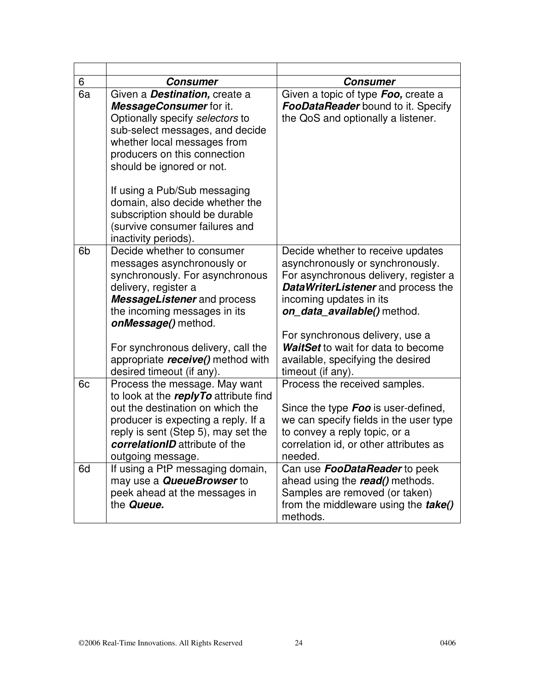| 6              | <b>Consumer</b>                                                                                                                                                                                                                                                                                                                                                                                   | <b>Consumer</b>                                                                                                                                                                                                                                                                                                                                          |
|----------------|---------------------------------------------------------------------------------------------------------------------------------------------------------------------------------------------------------------------------------------------------------------------------------------------------------------------------------------------------------------------------------------------------|----------------------------------------------------------------------------------------------------------------------------------------------------------------------------------------------------------------------------------------------------------------------------------------------------------------------------------------------------------|
| 6a             | Given a <b>Destination</b> , create a<br>MessageConsumer for it.<br>Optionally specify selectors to<br>sub-select messages, and decide<br>whether local messages from<br>producers on this connection<br>should be ignored or not.<br>If using a Pub/Sub messaging<br>domain, also decide whether the<br>subscription should be durable<br>(survive consumer failures and<br>inactivity periods). | Given a topic of type Foo, create a<br><b>FooDataReader</b> bound to it. Specify<br>the QoS and optionally a listener.                                                                                                                                                                                                                                   |
| 6 <sub>b</sub> | Decide whether to consumer<br>messages asynchronously or<br>synchronously. For asynchronous<br>delivery, register a<br><b>MessageListener</b> and process<br>the incoming messages in its<br>onMessage() method.<br>For synchronous delivery, call the<br>appropriate receive() method with<br>desired timeout (if any).                                                                          | Decide whether to receive updates<br>asynchronously or synchronously.<br>For asynchronous delivery, register a<br><b>DataWriterListener</b> and process the<br>incoming updates in its<br>on_data_available() method.<br>For synchronous delivery, use a<br>WaitSet to wait for data to become<br>available, specifying the desired<br>timeout (if any). |
| 6c             | Process the message. May want<br>to look at the replyTo attribute find<br>out the destination on which the<br>producer is expecting a reply. If a<br>reply is sent (Step 5), may set the<br>correlationID attribute of the<br>outgoing message.                                                                                                                                                   | Process the received samples.<br>Since the type <b>Foo</b> is user-defined,<br>we can specify fields in the user type<br>to convey a reply topic, or a<br>correlation id, or other attributes as<br>needed.                                                                                                                                              |
| 6d             | If using a PtP messaging domain,<br>may use a <b>QueueBrowser</b> to<br>peek ahead at the messages in<br>the <b>Queue.</b>                                                                                                                                                                                                                                                                        | Can use <b>FooDataReader</b> to peek<br>ahead using the read() methods.<br>Samples are removed (or taken)<br>from the middleware using the <b>take</b> ()<br>methods.                                                                                                                                                                                    |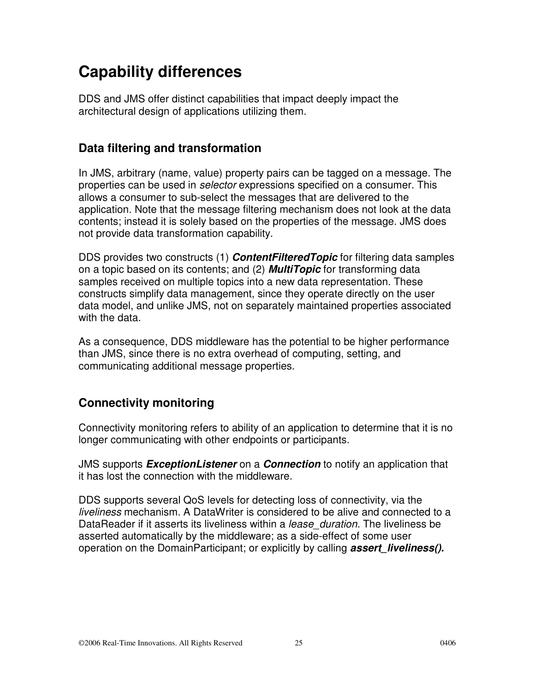### **Capability differences**

DDS and JMS offer distinct capabilities that impact deeply impact the architectural design of applications utilizing them.

### **Data filtering and transformation**

In JMS, arbitrary (name, value) property pairs can be tagged on a message. The properties can be used in *selector* expressions specified on a consumer. This allows a consumer to sub-select the messages that are delivered to the application. Note that the message filtering mechanism does not look at the data contents; instead it is solely based on the properties of the message. JMS does not provide data transformation capability.

DDS provides two constructs (1) **ContentFilteredTopic** for filtering data samples on a topic based on its contents; and (2) **MultiTopic** for transforming data samples received on multiple topics into a new data representation. These constructs simplify data management, since they operate directly on the user data model, and unlike JMS, not on separately maintained properties associated with the data.

As a consequence, DDS middleware has the potential to be higher performance than JMS, since there is no extra overhead of computing, setting, and communicating additional message properties.

### **Connectivity monitoring**

Connectivity monitoring refers to ability of an application to determine that it is no longer communicating with other endpoints or participants.

JMS supports **ExceptionListener** on a **Connection** to notify an application that it has lost the connection with the middleware.

DDS supports several QoS levels for detecting loss of connectivity, via the liveliness mechanism. A DataWriter is considered to be alive and connected to a DataReader if it asserts its liveliness within a *lease duration*. The liveliness be asserted automatically by the middleware; as a side-effect of some user operation on the DomainParticipant; or explicitly by calling **assert liveliness().**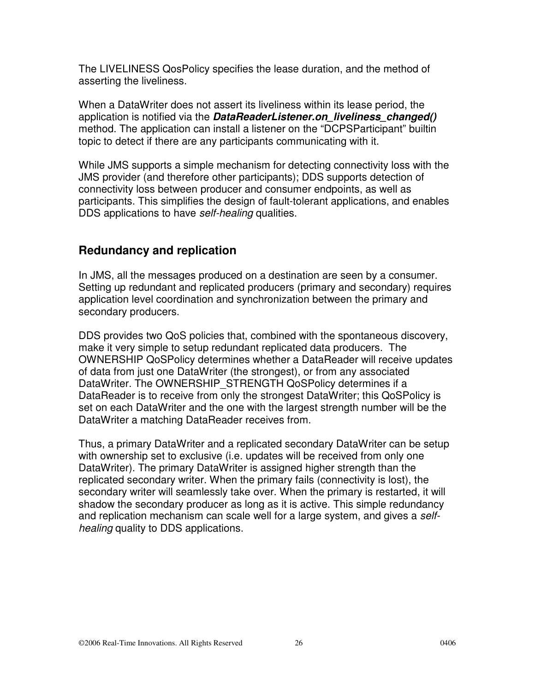The LIVELINESS QosPolicy specifies the lease duration, and the method of asserting the liveliness.

When a DataWriter does not assert its liveliness within its lease period, the application is notified via the **DataReaderListener.on\_liveliness\_changed()**  method. The application can install a listener on the "DCPSParticipant" builtin topic to detect if there are any participants communicating with it.

While JMS supports a simple mechanism for detecting connectivity loss with the JMS provider (and therefore other participants); DDS supports detection of connectivity loss between producer and consumer endpoints, as well as participants. This simplifies the design of fault-tolerant applications, and enables DDS applications to have self-healing qualities.

#### **Redundancy and replication**

In JMS, all the messages produced on a destination are seen by a consumer. Setting up redundant and replicated producers (primary and secondary) requires application level coordination and synchronization between the primary and secondary producers.

DDS provides two QoS policies that, combined with the spontaneous discovery, make it very simple to setup redundant replicated data producers. The OWNERSHIP QoSPolicy determines whether a DataReader will receive updates of data from just one DataWriter (the strongest), or from any associated DataWriter. The OWNERSHIP\_STRENGTH QoSPolicy determines if a DataReader is to receive from only the strongest DataWriter; this QoSPolicy is set on each DataWriter and the one with the largest strength number will be the DataWriter a matching DataReader receives from.

Thus, a primary DataWriter and a replicated secondary DataWriter can be setup with ownership set to exclusive (i.e. updates will be received from only one DataWriter). The primary DataWriter is assigned higher strength than the replicated secondary writer. When the primary fails (connectivity is lost), the secondary writer will seamlessly take over. When the primary is restarted, it will shadow the secondary producer as long as it is active. This simple redundancy and replication mechanism can scale well for a large system, and gives a selfhealing quality to DDS applications.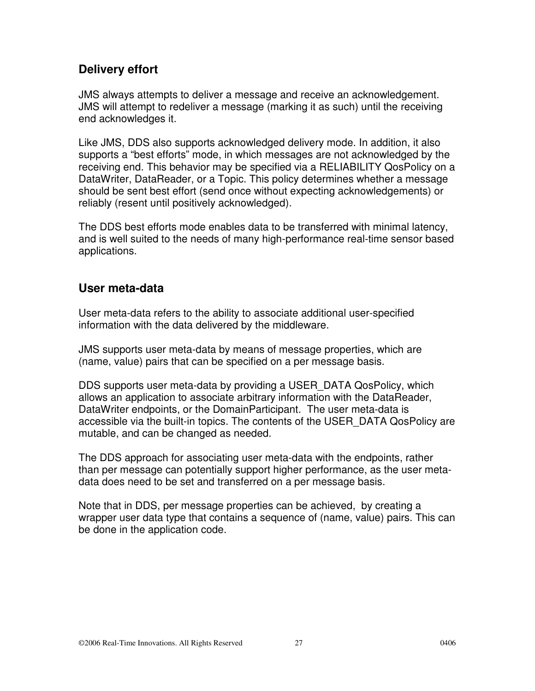### **Delivery effort**

JMS always attempts to deliver a message and receive an acknowledgement. JMS will attempt to redeliver a message (marking it as such) until the receiving end acknowledges it.

Like JMS, DDS also supports acknowledged delivery mode. In addition, it also supports a "best efforts" mode, in which messages are not acknowledged by the receiving end. This behavior may be specified via a RELIABILITY QosPolicy on a DataWriter, DataReader, or a Topic. This policy determines whether a message should be sent best effort (send once without expecting acknowledgements) or reliably (resent until positively acknowledged).

The DDS best efforts mode enables data to be transferred with minimal latency, and is well suited to the needs of many high-performance real-time sensor based applications.

#### **User meta-data**

User meta-data refers to the ability to associate additional user-specified information with the data delivered by the middleware.

JMS supports user meta-data by means of message properties, which are (name, value) pairs that can be specified on a per message basis.

DDS supports user meta-data by providing a USER\_DATA QosPolicy, which allows an application to associate arbitrary information with the DataReader, DataWriter endpoints, or the DomainParticipant. The user meta-data is accessible via the built-in topics. The contents of the USER\_DATA QosPolicy are mutable, and can be changed as needed.

The DDS approach for associating user meta-data with the endpoints, rather than per message can potentially support higher performance, as the user metadata does need to be set and transferred on a per message basis.

Note that in DDS, per message properties can be achieved, by creating a wrapper user data type that contains a sequence of (name, value) pairs. This can be done in the application code.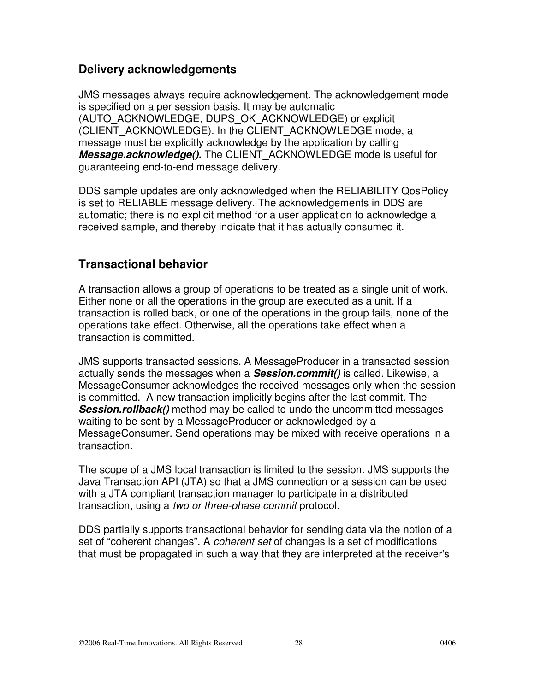### **Delivery acknowledgements**

JMS messages always require acknowledgement. The acknowledgement mode is specified on a per session basis. It may be automatic (AUTO\_ACKNOWLEDGE, DUPS\_OK\_ACKNOWLEDGE) or explicit (CLIENT\_ACKNOWLEDGE). In the CLIENT\_ACKNOWLEDGE mode, a message must be explicitly acknowledge by the application by calling **Message.acknowledge().** The CLIENT\_ACKNOWLEDGE mode is useful for guaranteeing end-to-end message delivery.

DDS sample updates are only acknowledged when the RELIABILITY QosPolicy is set to RELIABLE message delivery. The acknowledgements in DDS are automatic; there is no explicit method for a user application to acknowledge a received sample, and thereby indicate that it has actually consumed it.

### **Transactional behavior**

A transaction allows a group of operations to be treated as a single unit of work. Either none or all the operations in the group are executed as a unit. If a transaction is rolled back, or one of the operations in the group fails, none of the operations take effect. Otherwise, all the operations take effect when a transaction is committed.

JMS supports transacted sessions. A MessageProducer in a transacted session actually sends the messages when a **Session.commit()** is called. Likewise, a MessageConsumer acknowledges the received messages only when the session is committed. A new transaction implicitly begins after the last commit. The **Session.rollback()** method may be called to undo the uncommitted messages waiting to be sent by a MessageProducer or acknowledged by a MessageConsumer. Send operations may be mixed with receive operations in a transaction.

The scope of a JMS local transaction is limited to the session. JMS supports the Java Transaction API (JTA) so that a JMS connection or a session can be used with a JTA compliant transaction manager to participate in a distributed transaction, using a two or three-phase commit protocol.

DDS partially supports transactional behavior for sending data via the notion of a set of "coherent changes". A *coherent set* of changes is a set of modifications that must be propagated in such a way that they are interpreted at the receiver's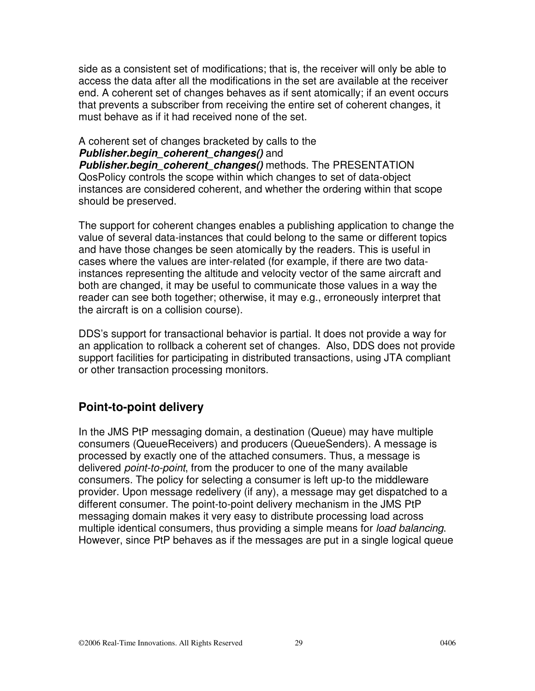side as a consistent set of modifications; that is, the receiver will only be able to access the data after all the modifications in the set are available at the receiver end. A coherent set of changes behaves as if sent atomically; if an event occurs that prevents a subscriber from receiving the entire set of coherent changes, it must behave as if it had received none of the set.

#### A coherent set of changes bracketed by calls to the **Publisher.begin\_coherent\_changes()** and

**Publisher.begin coherent changes()** methods. The PRESENTATION QosPolicy controls the scope within which changes to set of data-object instances are considered coherent, and whether the ordering within that scope should be preserved.

The support for coherent changes enables a publishing application to change the value of several data-instances that could belong to the same or different topics and have those changes be seen atomically by the readers. This is useful in cases where the values are inter-related (for example, if there are two datainstances representing the altitude and velocity vector of the same aircraft and both are changed, it may be useful to communicate those values in a way the reader can see both together; otherwise, it may e.g., erroneously interpret that the aircraft is on a collision course).

DDS's support for transactional behavior is partial. It does not provide a way for an application to rollback a coherent set of changes. Also, DDS does not provide support facilities for participating in distributed transactions, using JTA compliant or other transaction processing monitors.

### **Point-to-point delivery**

In the JMS PtP messaging domain, a destination (Queue) may have multiple consumers (QueueReceivers) and producers (QueueSenders). A message is processed by exactly one of the attached consumers. Thus, a message is delivered *point-to-point*, from the producer to one of the many available consumers. The policy for selecting a consumer is left up-to the middleware provider. Upon message redelivery (if any), a message may get dispatched to a different consumer. The point-to-point delivery mechanism in the JMS PtP messaging domain makes it very easy to distribute processing load across multiple identical consumers, thus providing a simple means for *load balancing*. However, since PtP behaves as if the messages are put in a single logical queue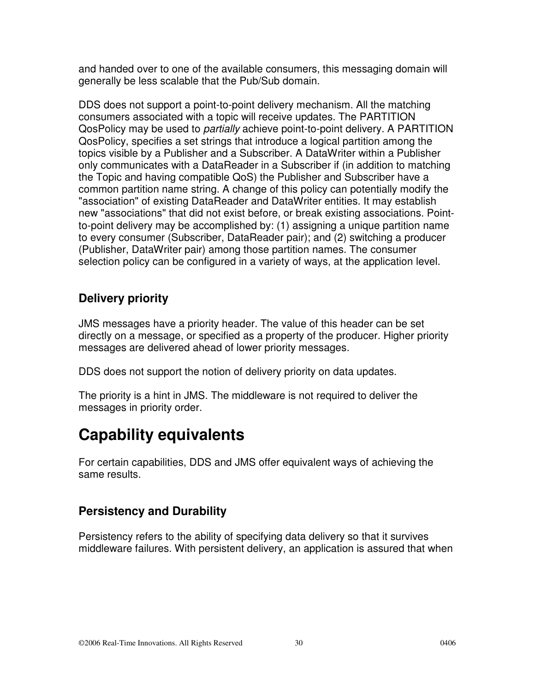and handed over to one of the available consumers, this messaging domain will generally be less scalable that the Pub/Sub domain.

DDS does not support a point-to-point delivery mechanism. All the matching consumers associated with a topic will receive updates. The PARTITION QosPolicy may be used to *partially* achieve point-to-point delivery. A PARTITION QosPolicy, specifies a set strings that introduce a logical partition among the topics visible by a Publisher and a Subscriber. A DataWriter within a Publisher only communicates with a DataReader in a Subscriber if (in addition to matching the Topic and having compatible QoS) the Publisher and Subscriber have a common partition name string. A change of this policy can potentially modify the "association" of existing DataReader and DataWriter entities. It may establish new "associations" that did not exist before, or break existing associations. Pointto-point delivery may be accomplished by: (1) assigning a unique partition name to every consumer (Subscriber, DataReader pair); and (2) switching a producer (Publisher, DataWriter pair) among those partition names. The consumer selection policy can be configured in a variety of ways, at the application level.

### **Delivery priority**

JMS messages have a priority header. The value of this header can be set directly on a message, or specified as a property of the producer. Higher priority messages are delivered ahead of lower priority messages.

DDS does not support the notion of delivery priority on data updates.

The priority is a hint in JMS. The middleware is not required to deliver the messages in priority order.

## **Capability equivalents**

For certain capabilities, DDS and JMS offer equivalent ways of achieving the same results.

### **Persistency and Durability**

Persistency refers to the ability of specifying data delivery so that it survives middleware failures. With persistent delivery, an application is assured that when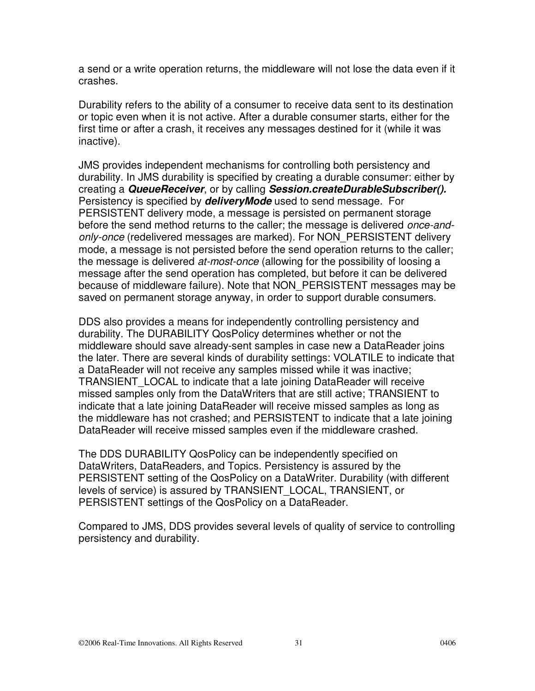a send or a write operation returns, the middleware will not lose the data even if it crashes.

Durability refers to the ability of a consumer to receive data sent to its destination or topic even when it is not active. After a durable consumer starts, either for the first time or after a crash, it receives any messages destined for it (while it was inactive).

JMS provides independent mechanisms for controlling both persistency and durability. In JMS durability is specified by creating a durable consumer: either by creating a **QueueReceiver**, or by calling **Session.createDurableSubscriber().**  Persistency is specified by **deliveryMode** used to send message. For PERSISTENT delivery mode, a message is persisted on permanent storage before the send method returns to the caller; the message is delivered once-andonly-once (redelivered messages are marked). For NON\_PERSISTENT delivery mode, a message is not persisted before the send operation returns to the caller; the message is delivered *at-most-once* (allowing for the possibility of loosing a message after the send operation has completed, but before it can be delivered because of middleware failure). Note that NON\_PERSISTENT messages may be saved on permanent storage anyway, in order to support durable consumers.

DDS also provides a means for independently controlling persistency and durability. The DURABILITY QosPolicy determines whether or not the middleware should save already-sent samples in case new a DataReader joins the later. There are several kinds of durability settings: VOLATILE to indicate that a DataReader will not receive any samples missed while it was inactive; TRANSIENT\_LOCAL to indicate that a late joining DataReader will receive missed samples only from the DataWriters that are still active; TRANSIENT to indicate that a late joining DataReader will receive missed samples as long as the middleware has not crashed; and PERSISTENT to indicate that a late joining DataReader will receive missed samples even if the middleware crashed.

The DDS DURABILITY QosPolicy can be independently specified on DataWriters, DataReaders, and Topics. Persistency is assured by the PERSISTENT setting of the QosPolicy on a DataWriter. Durability (with different levels of service) is assured by TRANSIENT\_LOCAL, TRANSIENT, or PERSISTENT settings of the QosPolicy on a DataReader.

Compared to JMS, DDS provides several levels of quality of service to controlling persistency and durability.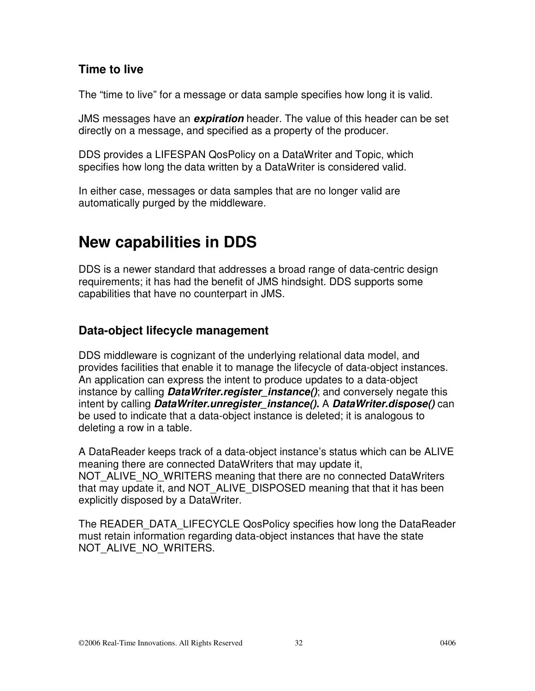#### **Time to live**

The "time to live" for a message or data sample specifies how long it is valid.

JMS messages have an **expiration** header. The value of this header can be set directly on a message, and specified as a property of the producer.

DDS provides a LIFESPAN QosPolicy on a DataWriter and Topic, which specifies how long the data written by a DataWriter is considered valid.

In either case, messages or data samples that are no longer valid are automatically purged by the middleware.

### **New capabilities in DDS**

DDS is a newer standard that addresses a broad range of data-centric design requirements; it has had the benefit of JMS hindsight. DDS supports some capabilities that have no counterpart in JMS.

### **Data-object lifecycle management**

DDS middleware is cognizant of the underlying relational data model, and provides facilities that enable it to manage the lifecycle of data-object instances. An application can express the intent to produce updates to a data-object instance by calling **DataWriter.register\_instance()**; and conversely negate this intent by calling **DataWriter.unregister\_instance().** A **DataWriter.dispose()** can be used to indicate that a data-object instance is deleted; it is analogous to deleting a row in a table.

A DataReader keeps track of a data-object instance's status which can be ALIVE meaning there are connected DataWriters that may update it, NOT\_ALIVE\_NO\_WRITERS meaning that there are no connected DataWriters that may update it, and NOT ALIVE DISPOSED meaning that that it has been explicitly disposed by a DataWriter.

The READER\_DATA\_LIFECYCLE QosPolicy specifies how long the DataReader must retain information regarding data-object instances that have the state NOT ALIVE NO WRITERS.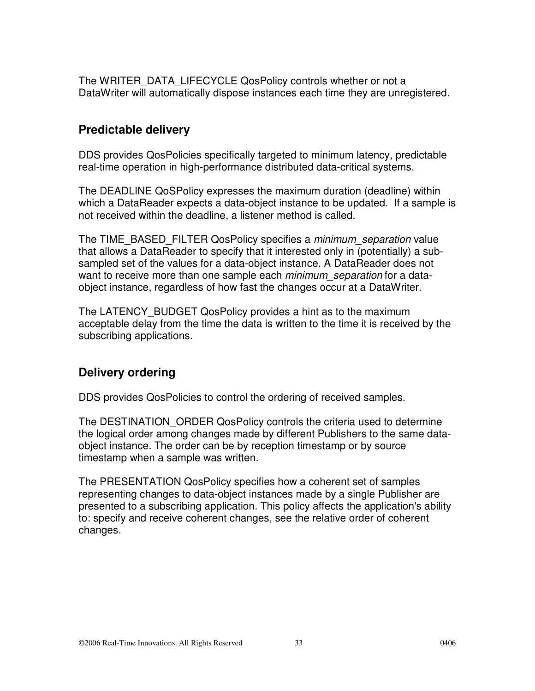The WRITER\_DATA\_LIFECYCLE QosPolicy controls whether or not a DataWriter will automatically dispose instances each time they are unregistered.

### **Predictable delivery**

DDS provides QosPolicies specifically targeted to minimum latency, predictable real-time operation in high-performance distributed data-critical systems.

The DEADLINE QoSPolicy expresses the maximum duration (deadline) within which a DataReader expects a data-object instance to be updated. If a sample is not received within the deadline, a listener method is called.

The TIME\_BASED\_FILTER QosPolicy specifies a *minimum\_separation* value that allows a DataReader to specify that it interested only in (potentially) a subsampled set of the values for a data-object instance. A DataReader does not want to receive more than one sample each *minimum* separation for a dataobject instance, regardless of how fast the changes occur at a DataWriter.

The LATENCY\_BUDGET QosPolicy provides a hint as to the maximum acceptable delay from the time the data is written to the time it is received by the subscribing applications.

### **Delivery ordering**

DDS provides QosPolicies to control the ordering of received samples.

The DESTINATION ORDER QosPolicy controls the criteria used to determine the logical order among changes made by different Publishers to the same dataobject instance. The order can be by reception timestamp or by source timestamp when a sample was written.

The PRESENTATION QosPolicy specifies how a coherent set of samples representing changes to data-object instances made by a single Publisher are presented to a subscribing application. This policy affects the application's ability to: specify and receive coherent changes, see the relative order of coherent changes.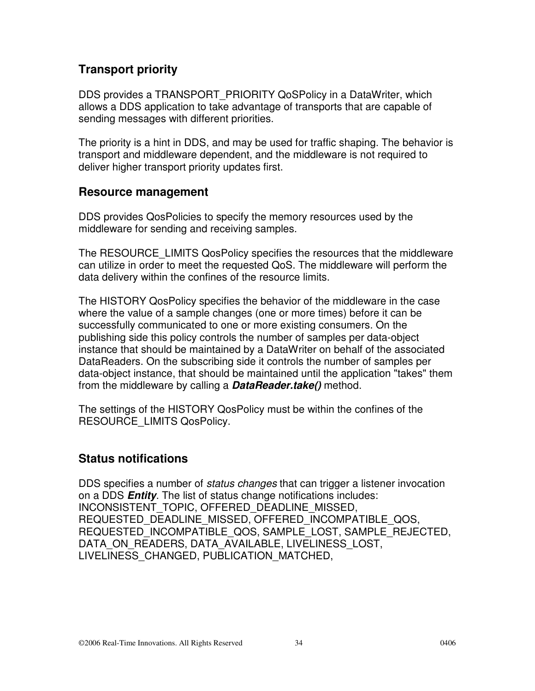### **Transport priority**

DDS provides a TRANSPORT\_PRIORITY QoSPolicy in a DataWriter, which allows a DDS application to take advantage of transports that are capable of sending messages with different priorities.

The priority is a hint in DDS, and may be used for traffic shaping. The behavior is transport and middleware dependent, and the middleware is not required to deliver higher transport priority updates first.

#### **Resource management**

DDS provides QosPolicies to specify the memory resources used by the middleware for sending and receiving samples.

The RESOURCE\_LIMITS QosPolicy specifies the resources that the middleware can utilize in order to meet the requested QoS. The middleware will perform the data delivery within the confines of the resource limits.

The HISTORY QosPolicy specifies the behavior of the middleware in the case where the value of a sample changes (one or more times) before it can be successfully communicated to one or more existing consumers. On the publishing side this policy controls the number of samples per data-object instance that should be maintained by a DataWriter on behalf of the associated DataReaders. On the subscribing side it controls the number of samples per data-object instance, that should be maintained until the application "takes" them from the middleware by calling a **DataReader.take()** method.

The settings of the HISTORY QosPolicy must be within the confines of the RESOURCE\_LIMITS QosPolicy.

### **Status notifications**

DDS specifies a number of *status changes* that can trigger a listener invocation on a DDS **Entity**. The list of status change notifications includes: INCONSISTENT\_TOPIC, OFFERED\_DEADLINE\_MISSED, REQUESTED\_DEADLINE\_MISSED, OFFERED\_INCOMPATIBLE\_QOS, REQUESTED\_INCOMPATIBLE\_QOS, SAMPLE\_LOST, SAMPLE\_REJECTED, DATA\_ON\_READERS, DATA\_AVAILABLE, LIVELINESS\_LOST, LIVELINESS\_CHANGED, PUBLICATION\_MATCHED,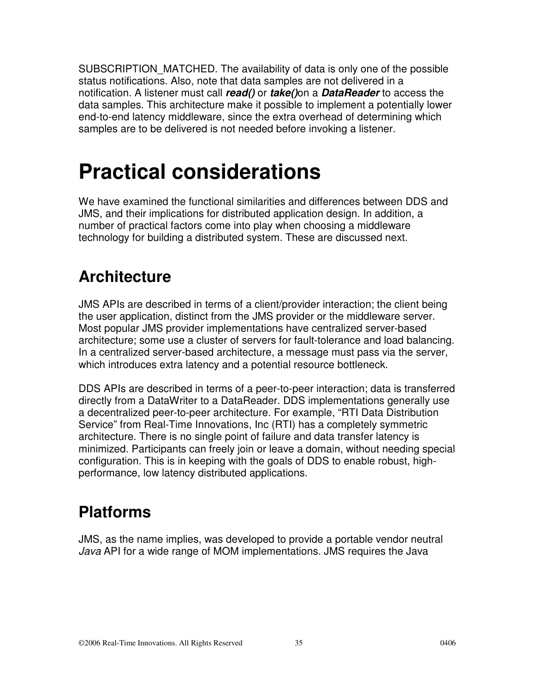SUBSCRIPTION\_MATCHED. The availability of data is only one of the possible status notifications. Also, note that data samples are not delivered in a notification. A listener must call **read()** or **take()**on a **DataReader** to access the data samples. This architecture make it possible to implement a potentially lower end-to-end latency middleware, since the extra overhead of determining which samples are to be delivered is not needed before invoking a listener.

# **Practical considerations**

We have examined the functional similarities and differences between DDS and JMS, and their implications for distributed application design. In addition, a number of practical factors come into play when choosing a middleware technology for building a distributed system. These are discussed next.

### **Architecture**

JMS APIs are described in terms of a client/provider interaction; the client being the user application, distinct from the JMS provider or the middleware server. Most popular JMS provider implementations have centralized server-based architecture; some use a cluster of servers for fault-tolerance and load balancing. In a centralized server-based architecture, a message must pass via the server, which introduces extra latency and a potential resource bottleneck.

DDS APIs are described in terms of a peer-to-peer interaction; data is transferred directly from a DataWriter to a DataReader. DDS implementations generally use a decentralized peer-to-peer architecture. For example, "RTI Data Distribution Service" from Real-Time Innovations, Inc (RTI) has a completely symmetric architecture. There is no single point of failure and data transfer latency is minimized. Participants can freely join or leave a domain, without needing special configuration. This is in keeping with the goals of DDS to enable robust, highperformance, low latency distributed applications.

### **Platforms**

JMS, as the name implies, was developed to provide a portable vendor neutral Java API for a wide range of MOM implementations. JMS requires the Java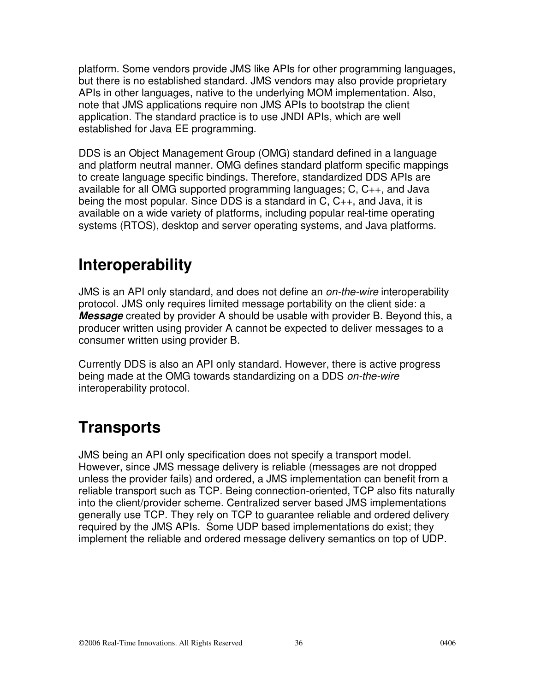platform. Some vendors provide JMS like APIs for other programming languages, but there is no established standard. JMS vendors may also provide proprietary APIs in other languages, native to the underlying MOM implementation. Also, note that JMS applications require non JMS APIs to bootstrap the client application. The standard practice is to use JNDI APIs, which are well established for Java EE programming.

DDS is an Object Management Group (OMG) standard defined in a language and platform neutral manner. OMG defines standard platform specific mappings to create language specific bindings. Therefore, standardized DDS APIs are available for all OMG supported programming languages; C, C++, and Java being the most popular. Since DDS is a standard in C, C++, and Java, it is available on a wide variety of platforms, including popular real-time operating systems (RTOS), desktop and server operating systems, and Java platforms.

### **Interoperability**

JMS is an API only standard, and does not define an *on-the-wire* interoperability protocol. JMS only requires limited message portability on the client side: a **Message** created by provider A should be usable with provider B. Beyond this, a producer written using provider A cannot be expected to deliver messages to a consumer written using provider B.

Currently DDS is also an API only standard. However, there is active progress being made at the OMG towards standardizing on a DDS on-the-wire interoperability protocol.

## **Transports**

JMS being an API only specification does not specify a transport model. However, since JMS message delivery is reliable (messages are not dropped unless the provider fails) and ordered, a JMS implementation can benefit from a reliable transport such as TCP. Being connection-oriented, TCP also fits naturally into the client/provider scheme. Centralized server based JMS implementations generally use TCP. They rely on TCP to guarantee reliable and ordered delivery required by the JMS APIs. Some UDP based implementations do exist; they implement the reliable and ordered message delivery semantics on top of UDP.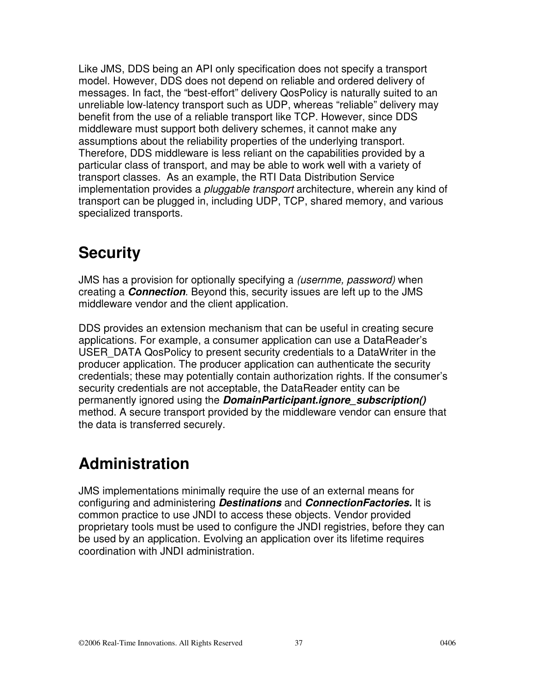Like JMS, DDS being an API only specification does not specify a transport model. However, DDS does not depend on reliable and ordered delivery of messages. In fact, the "best-effort" delivery QosPolicy is naturally suited to an unreliable low-latency transport such as UDP, whereas "reliable" delivery may benefit from the use of a reliable transport like TCP. However, since DDS middleware must support both delivery schemes, it cannot make any assumptions about the reliability properties of the underlying transport. Therefore, DDS middleware is less reliant on the capabilities provided by a particular class of transport, and may be able to work well with a variety of transport classes. As an example, the RTI Data Distribution Service implementation provides a *pluggable transport* architecture, wherein any kind of transport can be plugged in, including UDP, TCP, shared memory, and various specialized transports.

### **Security**

JMS has a provision for optionally specifying a *(usernme, password)* when creating a **Connection**. Beyond this, security issues are left up to the JMS middleware vendor and the client application.

DDS provides an extension mechanism that can be useful in creating secure applications. For example, a consumer application can use a DataReader's USER\_DATA QosPolicy to present security credentials to a DataWriter in the producer application. The producer application can authenticate the security credentials; these may potentially contain authorization rights. If the consumer's security credentials are not acceptable, the DataReader entity can be permanently ignored using the **DomainParticipant.ignore\_subscription()**  method. A secure transport provided by the middleware vendor can ensure that the data is transferred securely.

## **Administration**

JMS implementations minimally require the use of an external means for configuring and administering **Destinations** and **ConnectionFactories.** It is common practice to use JNDI to access these objects. Vendor provided proprietary tools must be used to configure the JNDI registries, before they can be used by an application. Evolving an application over its lifetime requires coordination with JNDI administration.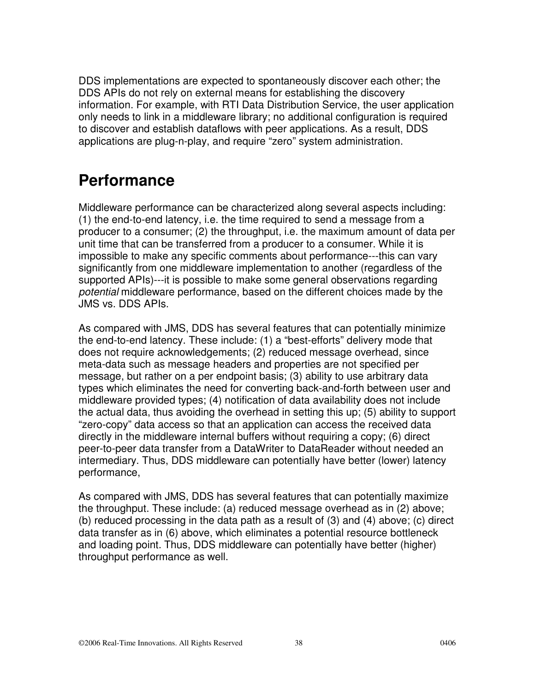DDS implementations are expected to spontaneously discover each other; the DDS APIs do not rely on external means for establishing the discovery information. For example, with RTI Data Distribution Service, the user application only needs to link in a middleware library; no additional configuration is required to discover and establish dataflows with peer applications. As a result, DDS applications are plug-n-play, and require "zero" system administration.

### **Performance**

Middleware performance can be characterized along several aspects including: (1) the end-to-end latency, i.e. the time required to send a message from a producer to a consumer; (2) the throughput, i.e. the maximum amount of data per unit time that can be transferred from a producer to a consumer. While it is impossible to make any specific comments about performance---this can vary significantly from one middleware implementation to another (regardless of the supported APIs)---it is possible to make some general observations regarding potential middleware performance, based on the different choices made by the JMS vs. DDS APIs.

As compared with JMS, DDS has several features that can potentially minimize the end-to-end latency. These include: (1) a "best-efforts" delivery mode that does not require acknowledgements; (2) reduced message overhead, since meta-data such as message headers and properties are not specified per message, but rather on a per endpoint basis; (3) ability to use arbitrary data types which eliminates the need for converting back-and-forth between user and middleware provided types; (4) notification of data availability does not include the actual data, thus avoiding the overhead in setting this up; (5) ability to support "zero-copy" data access so that an application can access the received data directly in the middleware internal buffers without requiring a copy; (6) direct peer-to-peer data transfer from a DataWriter to DataReader without needed an intermediary. Thus, DDS middleware can potentially have better (lower) latency performance,

As compared with JMS, DDS has several features that can potentially maximize the throughput. These include: (a) reduced message overhead as in (2) above; (b) reduced processing in the data path as a result of (3) and (4) above; (c) direct data transfer as in (6) above, which eliminates a potential resource bottleneck and loading point. Thus, DDS middleware can potentially have better (higher) throughput performance as well.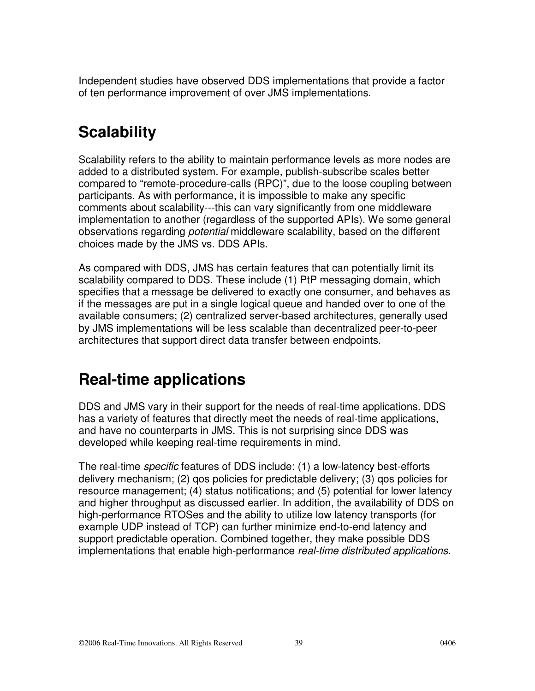Independent studies have observed DDS implementations that provide a factor of ten performance improvement of over JMS implementations.

## **Scalability**

Scalability refers to the ability to maintain performance levels as more nodes are added to a distributed system. For example, publish-subscribe scales better compared to "remote-procedure-calls (RPC)", due to the loose coupling between participants. As with performance, it is impossible to make any specific comments about scalability---this can vary significantly from one middleware implementation to another (regardless of the supported APIs). We some general observations regarding potential middleware scalability, based on the different choices made by the JMS vs. DDS APIs.

As compared with DDS, JMS has certain features that can potentially limit its scalability compared to DDS. These include (1) PtP messaging domain, which specifies that a message be delivered to exactly one consumer, and behaves as if the messages are put in a single logical queue and handed over to one of the available consumers; (2) centralized server-based architectures, generally used by JMS implementations will be less scalable than decentralized peer-to-peer architectures that support direct data transfer between endpoints.

### **Real-time applications**

DDS and JMS vary in their support for the needs of real-time applications. DDS has a variety of features that directly meet the needs of real-time applications, and have no counterparts in JMS. This is not surprising since DDS was developed while keeping real-time requirements in mind.

The real-time *specific* features of DDS include: (1) a low-latency best-efforts delivery mechanism; (2) qos policies for predictable delivery; (3) qos policies for resource management; (4) status notifications; and (5) potential for lower latency and higher throughput as discussed earlier. In addition, the availability of DDS on high-performance RTOSes and the ability to utilize low latency transports (for example UDP instead of TCP) can further minimize end-to-end latency and support predictable operation. Combined together, they make possible DDS implementations that enable high-performance real-time distributed applications.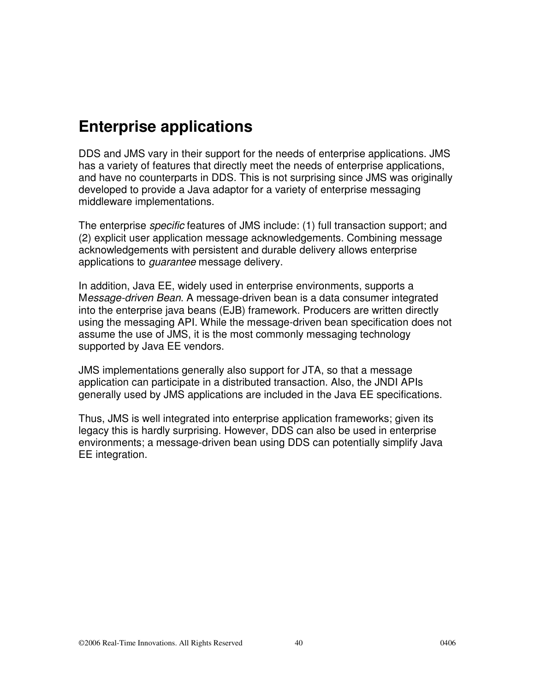### **Enterprise applications**

DDS and JMS vary in their support for the needs of enterprise applications. JMS has a variety of features that directly meet the needs of enterprise applications, and have no counterparts in DDS. This is not surprising since JMS was originally developed to provide a Java adaptor for a variety of enterprise messaging middleware implementations.

The enterprise specific features of JMS include: (1) full transaction support; and (2) explicit user application message acknowledgements. Combining message acknowledgements with persistent and durable delivery allows enterprise applications to *quarantee* message delivery.

In addition, Java EE, widely used in enterprise environments, supports a Message-driven Bean. A message-driven bean is a data consumer integrated into the enterprise java beans (EJB) framework. Producers are written directly using the messaging API. While the message-driven bean specification does not assume the use of JMS, it is the most commonly messaging technology supported by Java EE vendors.

JMS implementations generally also support for JTA, so that a message application can participate in a distributed transaction. Also, the JNDI APIs generally used by JMS applications are included in the Java EE specifications.

Thus, JMS is well integrated into enterprise application frameworks; given its legacy this is hardly surprising. However, DDS can also be used in enterprise environments; a message-driven bean using DDS can potentially simplify Java EE integration.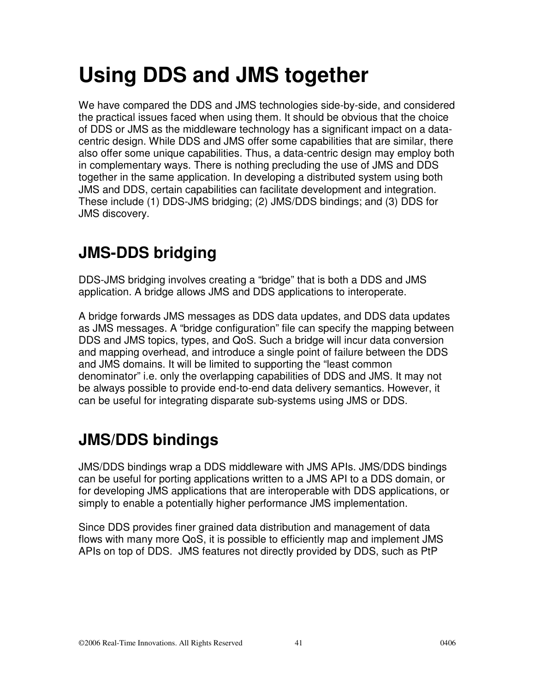# **Using DDS and JMS together**

We have compared the DDS and JMS technologies side-by-side, and considered the practical issues faced when using them. It should be obvious that the choice of DDS or JMS as the middleware technology has a significant impact on a datacentric design. While DDS and JMS offer some capabilities that are similar, there also offer some unique capabilities. Thus, a data-centric design may employ both in complementary ways. There is nothing precluding the use of JMS and DDS together in the same application. In developing a distributed system using both JMS and DDS, certain capabilities can facilitate development and integration. These include (1) DDS-JMS bridging; (2) JMS/DDS bindings; and (3) DDS for JMS discovery.

## **JMS-DDS bridging**

DDS-JMS bridging involves creating a "bridge" that is both a DDS and JMS application. A bridge allows JMS and DDS applications to interoperate.

A bridge forwards JMS messages as DDS data updates, and DDS data updates as JMS messages. A "bridge configuration" file can specify the mapping between DDS and JMS topics, types, and QoS. Such a bridge will incur data conversion and mapping overhead, and introduce a single point of failure between the DDS and JMS domains. It will be limited to supporting the "least common denominator" i.e. only the overlapping capabilities of DDS and JMS. It may not be always possible to provide end-to-end data delivery semantics. However, it can be useful for integrating disparate sub-systems using JMS or DDS.

## **JMS/DDS bindings**

JMS/DDS bindings wrap a DDS middleware with JMS APIs. JMS/DDS bindings can be useful for porting applications written to a JMS API to a DDS domain, or for developing JMS applications that are interoperable with DDS applications, or simply to enable a potentially higher performance JMS implementation.

Since DDS provides finer grained data distribution and management of data flows with many more QoS, it is possible to efficiently map and implement JMS APIs on top of DDS. JMS features not directly provided by DDS, such as PtP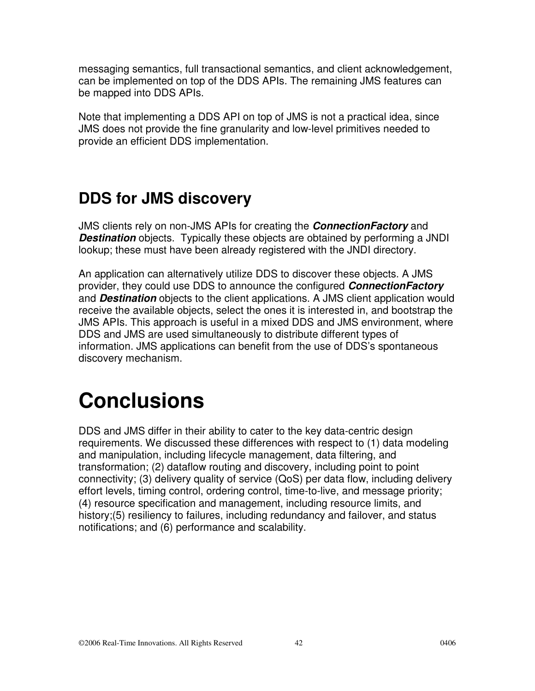messaging semantics, full transactional semantics, and client acknowledgement, can be implemented on top of the DDS APIs. The remaining JMS features can be mapped into DDS APIs.

Note that implementing a DDS API on top of JMS is not a practical idea, since JMS does not provide the fine granularity and low-level primitives needed to provide an efficient DDS implementation.

## **DDS for JMS discovery**

JMS clients rely on non-JMS APIs for creating the **ConnectionFactory** and **Destination** objects. Typically these objects are obtained by performing a JNDI lookup; these must have been already registered with the JNDI directory.

An application can alternatively utilize DDS to discover these objects. A JMS provider, they could use DDS to announce the configured **ConnectionFactory** and **Destination** objects to the client applications. A JMS client application would receive the available objects, select the ones it is interested in, and bootstrap the JMS APIs. This approach is useful in a mixed DDS and JMS environment, where DDS and JMS are used simultaneously to distribute different types of information. JMS applications can benefit from the use of DDS's spontaneous discovery mechanism.

# **Conclusions**

DDS and JMS differ in their ability to cater to the key data-centric design requirements. We discussed these differences with respect to (1) data modeling and manipulation, including lifecycle management, data filtering, and transformation; (2) dataflow routing and discovery, including point to point connectivity; (3) delivery quality of service (QoS) per data flow, including delivery effort levels, timing control, ordering control, time-to-live, and message priority; (4) resource specification and management, including resource limits, and history;(5) resiliency to failures, including redundancy and failover, and status notifications; and (6) performance and scalability.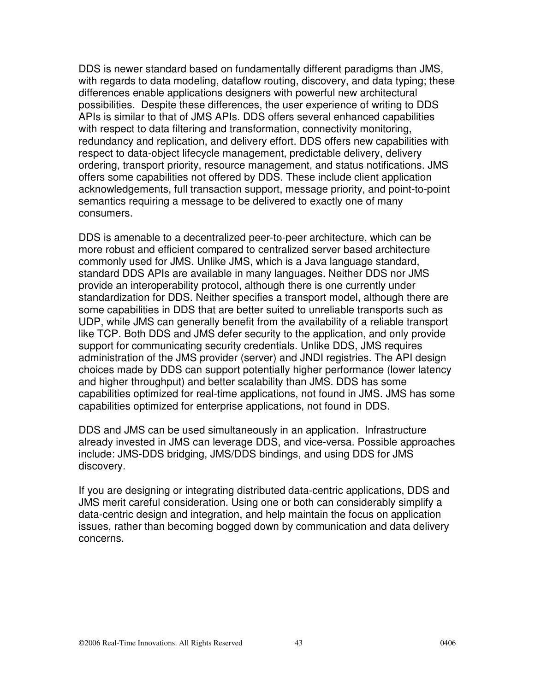DDS is newer standard based on fundamentally different paradigms than JMS, with regards to data modeling, dataflow routing, discovery, and data typing; these differences enable applications designers with powerful new architectural possibilities. Despite these differences, the user experience of writing to DDS APIs is similar to that of JMS APIs. DDS offers several enhanced capabilities with respect to data filtering and transformation, connectivity monitoring, redundancy and replication, and delivery effort. DDS offers new capabilities with respect to data-object lifecycle management, predictable delivery, delivery ordering, transport priority, resource management, and status notifications. JMS offers some capabilities not offered by DDS. These include client application acknowledgements, full transaction support, message priority, and point-to-point semantics requiring a message to be delivered to exactly one of many consumers.

DDS is amenable to a decentralized peer-to-peer architecture, which can be more robust and efficient compared to centralized server based architecture commonly used for JMS. Unlike JMS, which is a Java language standard, standard DDS APIs are available in many languages. Neither DDS nor JMS provide an interoperability protocol, although there is one currently under standardization for DDS. Neither specifies a transport model, although there are some capabilities in DDS that are better suited to unreliable transports such as UDP, while JMS can generally benefit from the availability of a reliable transport like TCP. Both DDS and JMS defer security to the application, and only provide support for communicating security credentials. Unlike DDS, JMS requires administration of the JMS provider (server) and JNDI registries. The API design choices made by DDS can support potentially higher performance (lower latency and higher throughput) and better scalability than JMS. DDS has some capabilities optimized for real-time applications, not found in JMS. JMS has some capabilities optimized for enterprise applications, not found in DDS.

DDS and JMS can be used simultaneously in an application. Infrastructure already invested in JMS can leverage DDS, and vice-versa. Possible approaches include: JMS-DDS bridging, JMS/DDS bindings, and using DDS for JMS discovery.

If you are designing or integrating distributed data-centric applications, DDS and JMS merit careful consideration. Using one or both can considerably simplify a data-centric design and integration, and help maintain the focus on application issues, rather than becoming bogged down by communication and data delivery concerns.